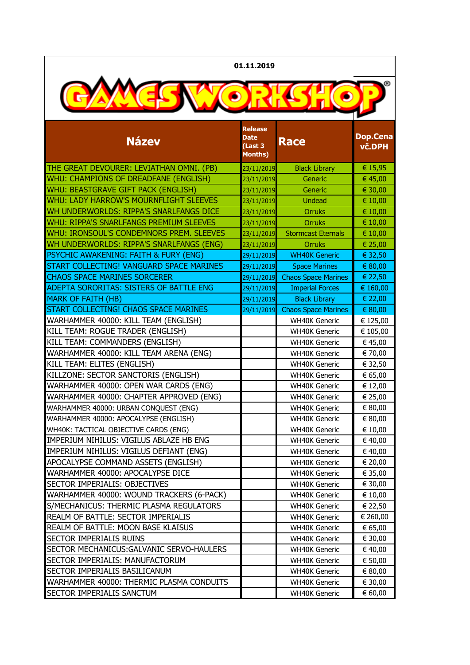| 01.11.2019                                       |                                                            |                            |                    |
|--------------------------------------------------|------------------------------------------------------------|----------------------------|--------------------|
|                                                  |                                                            |                            |                    |
| <b>Název</b>                                     | <b>Release</b><br><b>Date</b><br>(Last 3<br><b>Months)</b> | <b>Race</b>                | Dop.Cena<br>vč.DPH |
| THE GREAT DEVOURER: LEVIATHAN OMNI. (PB)         | 23/11/2019                                                 | <b>Black Library</b>       | € 15,95            |
| WHU: CHAMPIONS OF DREADFANE (ENGLISH)            | 23/11/2019                                                 | Generic                    | € 45,00            |
| WHU: BEASTGRAVE GIFT PACK (ENGLISH)              | 23/11/2019                                                 | Generic                    | € 30,00            |
| WHU: LADY HARROW'S MOURNFLIGHT SLEEVES           | 23/11/2019                                                 | <b>Undead</b>              | € 10,00            |
| WH UNDERWORLDS: RIPPA'S SNARLFANGS DICE          | 23/11/2019                                                 | <b>Orruks</b>              | € 10,00            |
| <b>WHU: RIPPA'S SNARLFANGS PREMIUM SLEEVES</b>   | 23/11/2019                                                 | <b>Orruks</b>              | € 10,00            |
| WHU: IRONSOUL'S CONDEMNORS PREM. SLEEVES         | 23/11/2019                                                 | <b>Stormcast Eternals</b>  | € 10,00            |
| WH UNDERWORLDS: RIPPA'S SNARLFANGS (ENG)         | 23/11/2019                                                 | <b>Orruks</b>              | € 25,00            |
| <b>PSYCHIC AWAKENING: FAITH &amp; FURY (ENG)</b> | 29/11/2019                                                 | <b>WH40K Generic</b>       | € 32,50            |
| START COLLECTING! VANGUARD SPACE MARINES         | 29/11/2019                                                 | <b>Space Marines</b>       | € 80,00            |
| <b>CHAOS SPACE MARINES SORCERER</b>              | 29/11/2019                                                 | <b>Chaos Space Marines</b> | € 22,50            |
| ADEPTA SORORITAS: SISTERS OF BATTLE ENG          | 29/11/2019                                                 | <b>Imperial Forces</b>     | € 160,00           |
| <b>MARK OF FAITH (HB)</b>                        | 29/11/2019                                                 | <b>Black Library</b>       | € 22,00            |
| START COLLECTING! CHAOS SPACE MARINES            | 29/11/2019                                                 | <b>Chaos Space Marines</b> | € 80,00            |
| WARHAMMER 40000: KILL TEAM (ENGLISH)             |                                                            | <b>WH40K Generic</b>       | € 125,00           |
| KILL TEAM: ROGUE TRADER (ENGLISH)                |                                                            | <b>WH40K Generic</b>       | € 105,00           |
| KILL TEAM: COMMANDERS (ENGLISH)                  |                                                            | <b>WH40K Generic</b>       | € 45,00            |
| WARHAMMER 40000: KILL TEAM ARENA (ENG)           |                                                            | <b>WH40K Generic</b>       | € 70,00            |
| KILL TEAM: ELITES (ENGLISH)                      |                                                            | <b>WH40K Generic</b>       | € 32,50            |
| KILLZONE: SECTOR SANCTORIS (ENGLISH)             |                                                            | <b>WH40K Generic</b>       | € 65,00            |
| WARHAMMER 40000: OPEN WAR CARDS (ENG)            |                                                            | <b>WH40K Generic</b>       | € 12,00            |
| WARHAMMER 40000: CHAPTER APPROVED (ENG)          |                                                            | <b>WH40K Generic</b>       | € 25,00            |
| WARHAMMER 40000: URBAN CONQUEST (ENG)            |                                                            | <b>WH40K Generic</b>       | € 80,00            |
| WARHAMMER 40000: APOCALYPSE (ENGLISH)            |                                                            | <b>WH40K Generic</b>       | € 80,00            |
| WH40K: TACTICAL OBJECTIVE CARDS (ENG)            |                                                            | <b>WH40K Generic</b>       | € 10,00            |
| IMPERIUM NIHILUS: VIGILUS ABLAZE HB ENG          |                                                            | <b>WH40K Generic</b>       | € 40,00            |
| IMPERIUM NIHILUS: VIGILUS DEFIANT (ENG)          |                                                            | <b>WH40K Generic</b>       | € 40,00            |
| APOCALYPSE COMMAND ASSETS (ENGLISH)              |                                                            | <b>WH40K Generic</b>       | € 20,00            |
| WARHAMMER 40000: APOCALYPSE DICE                 |                                                            | <b>WH40K Generic</b>       | € 35,00            |
| <b>SECTOR IMPERIALIS: OBJECTIVES</b>             |                                                            | <b>WH40K Generic</b>       | € 30,00            |
| WARHAMMER 40000: WOUND TRACKERS (6-PACK)         |                                                            | <b>WH40K Generic</b>       | € 10,00            |
| S/MECHANICUS: THERMIC PLASMA REGULATORS          |                                                            | <b>WH40K Generic</b>       | € 22,50            |
| REALM OF BATTLE: SECTOR IMPERIALIS               |                                                            | <b>WH40K Generic</b>       | € 260,00           |
| REALM OF BATTLE: MOON BASE KLAISUS               |                                                            | <b>WH40K Generic</b>       | € 65,00            |
| SECTOR IMPERIALIS RUINS                          |                                                            | <b>WH40K Generic</b>       | € 30,00            |
| SECTOR MECHANICUS: GALVANIC SERVO-HAULERS        |                                                            | <b>WH40K Generic</b>       | € 40,00            |
| SECTOR IMPERIALIS: MANUFACTORUM                  |                                                            | <b>WH40K Generic</b>       | € 50,00            |
| <b>SECTOR IMPERIALIS BASILICANUM</b>             |                                                            | <b>WH40K Generic</b>       | € 80,00            |
| WARHAMMER 40000: THERMIC PLASMA CONDUITS         |                                                            | <b>WH40K Generic</b>       | € 30,00            |
| SECTOR IMPERIALIS SANCTUM                        |                                                            | <b>WH40K Generic</b>       | € 60,00            |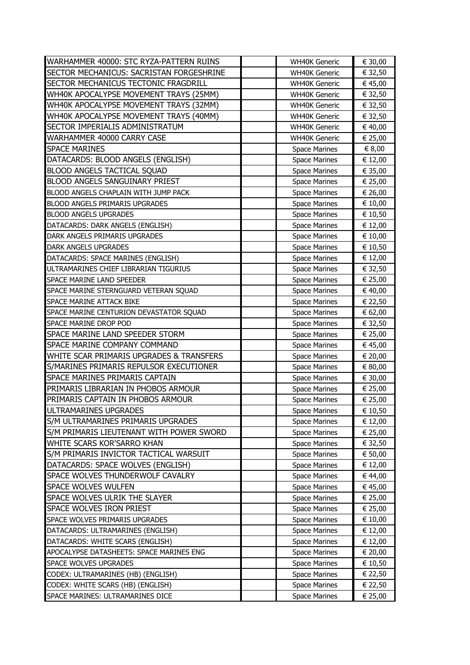| WARHAMMER 40000: STC RYZA-PATTERN RUINS                               | <b>WH40K Generic</b>                  | € 30,00            |
|-----------------------------------------------------------------------|---------------------------------------|--------------------|
| SECTOR MECHANICUS: SACRISTAN FORGESHRINE                              | <b>WH40K Generic</b>                  | € 32,50            |
| <b>SECTOR MECHANICUS TECTONIC FRAGDRILL</b>                           | <b>WH40K Generic</b>                  | € 45,00            |
| WH40K APOCALYPSE MOVEMENT TRAYS (25MM)                                | <b>WH40K Generic</b>                  | € 32,50            |
| WH40K APOCALYPSE MOVEMENT TRAYS (32MM)                                | <b>WH40K Generic</b>                  | € 32,50            |
| WH40K APOCALYPSE MOVEMENT TRAYS (40MM)                                | <b>WH40K Generic</b>                  | € 32,50            |
| SECTOR IMPERIALIS ADMINISTRATUM                                       | <b>WH40K Generic</b>                  | € 40,00            |
| WARHAMMER 40000 CARRY CASE                                            | <b>WH40K Generic</b>                  | € 25,00            |
| <b>SPACE MARINES</b>                                                  | <b>Space Marines</b>                  | € 8,00             |
| DATACARDS: BLOOD ANGELS (ENGLISH)                                     | <b>Space Marines</b>                  | € 12,00            |
| <b>BLOOD ANGELS TACTICAL SQUAD</b>                                    | <b>Space Marines</b>                  | € 35,00            |
| <b>BLOOD ANGELS SANGUINARY PRIEST</b>                                 | <b>Space Marines</b>                  | € 25,00            |
| BLOOD ANGELS CHAPLAIN WITH JUMP PACK                                  | <b>Space Marines</b>                  | € 26,00            |
| BLOOD ANGELS PRIMARIS UPGRADES                                        | <b>Space Marines</b>                  | € 10,00            |
| <b>BLOOD ANGELS UPGRADES</b>                                          | <b>Space Marines</b>                  | € 10,50            |
| DATACARDS: DARK ANGELS (ENGLISH)                                      | <b>Space Marines</b>                  | € 12,00            |
| DARK ANGELS PRIMARIS UPGRADES                                         | <b>Space Marines</b>                  | € 10,00            |
| <b>DARK ANGELS UPGRADES</b>                                           | <b>Space Marines</b>                  | € 10,50            |
| DATACARDS: SPACE MARINES (ENGLISH)                                    | <b>Space Marines</b>                  | € 12,00            |
| ULTRAMARINES CHIEF LIBRARIAN TIGURIUS                                 | <b>Space Marines</b>                  | € 32,50            |
| <b>SPACE MARINE LAND SPEEDER</b>                                      | <b>Space Marines</b>                  | € 25,00            |
| SPACE MARINE STERNGUARD VETERAN SQUAD                                 | <b>Space Marines</b>                  | € 40,00            |
| SPACE MARINE ATTACK BIKE                                              | <b>Space Marines</b>                  | € 22,50            |
| SPACE MARINE CENTURION DEVASTATOR SQUAD                               | <b>Space Marines</b>                  | € 62,00            |
| SPACE MARINE DROP POD                                                 | <b>Space Marines</b>                  | € 32,50            |
| SPACE MARINE LAND SPEEDER STORM                                       | <b>Space Marines</b>                  | € 25,00            |
| SPACE MARINE COMPANY COMMAND                                          | <b>Space Marines</b>                  | € 45,00            |
| WHITE SCAR PRIMARIS UPGRADES & TRANSFERS                              | <b>Space Marines</b>                  | € 20,00            |
| S/MARINES PRIMARIS REPULSOR EXECUTIONER                               | <b>Space Marines</b>                  | € 80,00            |
| <b>SPACE MARINES PRIMARIS CAPTAIN</b>                                 | <b>Space Marines</b>                  | € 30,00            |
| PRIMARIS LIBRARIAN IN PHOBOS ARMOUR                                   | <b>Space Marines</b>                  | € 25,00            |
| PRIMARIS CAPTAIN IN PHOBOS ARMOUR                                     | <b>Space Marines</b>                  | € 25,00            |
| ULTRAMARINES UPGRADES                                                 | <b>Space Marines</b>                  | € 10,50            |
| S/M ULTRAMARINES PRIMARIS UPGRADES                                    | Space Marines                         | € 12,00            |
| S/M PRIMARIS LIEUTENANT WITH POWER SWORD                              | <b>Space Marines</b>                  | € 25,00            |
| WHITE SCARS KOR'SARRO KHAN                                            | <b>Space Marines</b>                  | € 32,50            |
| S/M PRIMARIS INVICTOR TACTICAL WARSUIT                                | <b>Space Marines</b>                  | € 50,00            |
| DATACARDS: SPACE WOLVES (ENGLISH)                                     | <b>Space Marines</b>                  | € 12,00            |
| SPACE WOLVES THUNDERWOLF CAVALRY                                      | <b>Space Marines</b>                  | € 44,00            |
| <b>SPACE WOLVES WULFEN</b>                                            | <b>Space Marines</b>                  | € 45,00            |
| <b>SPACE WOLVES ULRIK THE SLAYER</b>                                  | <b>Space Marines</b>                  | € 25,00            |
| SPACE WOLVES IRON PRIEST                                              |                                       |                    |
| <b>SPACE WOLVES PRIMARIS UPGRADES</b>                                 | <b>Space Marines</b>                  | € 25,00            |
|                                                                       | <b>Space Marines</b>                  | € 10,00            |
| DATACARDS: ULTRAMARINES (ENGLISH)                                     | <b>Space Marines</b>                  | € 12,00            |
| DATACARDS: WHITE SCARS (ENGLISH)                                      | <b>Space Marines</b>                  | € 12,00            |
| APOCALYPSE DATASHEETS: SPACE MARINES ENG                              | <b>Space Marines</b>                  | € 20,00            |
| SPACE WOLVES UPGRADES                                                 | <b>Space Marines</b>                  | € 10,50            |
| CODEX: ULTRAMARINES (HB) (ENGLISH)                                    | <b>Space Marines</b>                  | € 22,50            |
| CODEX: WHITE SCARS (HB) (ENGLISH)<br>SPACE MARINES: ULTRAMARINES DICE | <b>Space Marines</b><br>Space Marines | € 22,50<br>€ 25,00 |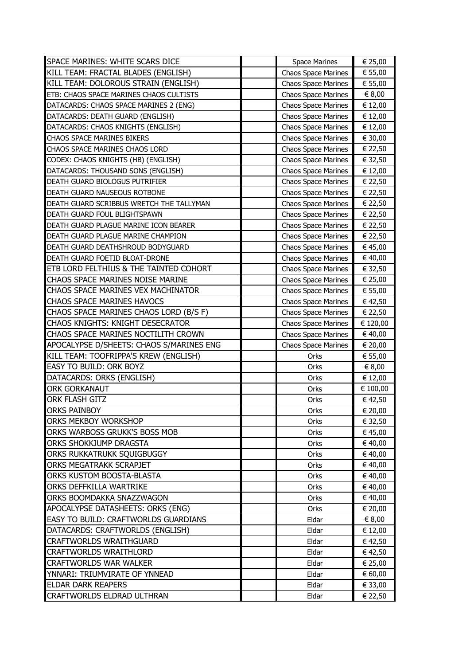| SPACE MARINES: WHITE SCARS DICE                   | <b>Space Marines</b>       | € 25,00  |
|---------------------------------------------------|----------------------------|----------|
| KILL TEAM: FRACTAL BLADES (ENGLISH)               | <b>Chaos Space Marines</b> | € 55,00  |
| KILL TEAM: DOLOROUS STRAIN (ENGLISH)              | <b>Chaos Space Marines</b> | € 55,00  |
| ETB: CHAOS SPACE MARINES CHAOS CULTISTS           | <b>Chaos Space Marines</b> | € 8,00   |
| DATACARDS: CHAOS SPACE MARINES 2 (ENG)            | <b>Chaos Space Marines</b> | € 12,00  |
| DATACARDS: DEATH GUARD (ENGLISH)                  | <b>Chaos Space Marines</b> | € 12,00  |
| DATACARDS: CHAOS KNIGHTS (ENGLISH)                | <b>Chaos Space Marines</b> | € 12,00  |
| <b>CHAOS SPACE MARINES BIKERS</b>                 | Chaos Space Marines        | € 30,00  |
| CHAOS SPACE MARINES CHAOS LORD                    | <b>Chaos Space Marines</b> | € 22,50  |
| CODEX: CHAOS KNIGHTS (HB) (ENGLISH)               | <b>Chaos Space Marines</b> | € 32,50  |
| DATACARDS: THOUSAND SONS (ENGLISH)                | <b>Chaos Space Marines</b> | € 12,00  |
| DEATH GUARD BIOLOGUS PUTRIFIER                    | Chaos Space Marines        | € 22,50  |
| DEATH GUARD NAUSEOUS ROTBONE                      | <b>Chaos Space Marines</b> | € 22,50  |
| DEATH GUARD SCRIBBUS WRETCH THE TALLYMAN          | <b>Chaos Space Marines</b> | € 22,50  |
| DEATH GUARD FOUL BLIGHTSPAWN                      | <b>Chaos Space Marines</b> | € 22,50  |
| DEATH GUARD PLAGUE MARINE ICON BEARER             | <b>Chaos Space Marines</b> | € 22,50  |
| DEATH GUARD PLAGUE MARINE CHAMPION                | <b>Chaos Space Marines</b> | € 22,50  |
| DEATH GUARD DEATHSHROUD BODYGUARD                 | <b>Chaos Space Marines</b> | € 45,00  |
| DEATH GUARD FOETID BLOAT-DRONE                    | <b>Chaos Space Marines</b> | € 40,00  |
| <b>ETB LORD FELTHIUS &amp; THE TAINTED COHORT</b> | <b>Chaos Space Marines</b> | € 32,50  |
| CHAOS SPACE MARINES NOISE MARINE                  | <b>Chaos Space Marines</b> | € 25,00  |
| CHAOS SPACE MARINES VEX MACHINATOR                | <b>Chaos Space Marines</b> | € 55,00  |
| <b>CHAOS SPACE MARINES HAVOCS</b>                 | <b>Chaos Space Marines</b> | € 42,50  |
| CHAOS SPACE MARINES CHAOS LORD (B/S F)            | <b>Chaos Space Marines</b> | € 22,50  |
| CHAOS KNIGHTS: KNIGHT DESECRATOR                  | Chaos Space Marines        | € 120,00 |
| CHAOS SPACE MARINES NOCTILITH CROWN               | <b>Chaos Space Marines</b> | € 40,00  |
| APOCALYPSE D/SHEETS: CHAOS S/MARINES ENG          | <b>Chaos Space Marines</b> | € 20,00  |
| KILL TEAM: TOOFRIPPA'S KREW (ENGLISH)             | Orks                       | € 55,00  |
| <b>EASY TO BUILD: ORK BOYZ</b>                    | Orks                       | € 8,00   |
| DATACARDS: ORKS (ENGLISH)                         | Orks                       | € 12,00  |
| <b>ORK GORKANAUT</b>                              | Orks                       | € 100,00 |
| <b>ORK FLASH GITZ</b>                             | Orks                       | € 42,50  |
| <b>ORKS PAINBOY</b>                               | Orks                       | € 20,00  |
| <b>ORKS MEKBOY WORKSHOP</b>                       | Orks                       | € 32,50  |
| ORKS WARBOSS GRUKK'S BOSS MOB                     | Orks                       | € 45,00  |
| ORKS SHOKKJUMP DRAGSTA                            | Orks                       | € 40,00  |
| ORKS RUKKATRUKK SQUIGBUGGY                        | Orks                       | € 40,00  |
| <b>ORKS MEGATRAKK SCRAPJET</b>                    | Orks                       | € 40,00  |
| ORKS KUSTOM BOOSTA-BLASTA                         | Orks                       | € 40,00  |
| ORKS DEFFKILLA WARTRIKE                           | Orks                       | € 40,00  |
| ORKS BOOMDAKKA SNAZZWAGON                         | Orks                       | € 40,00  |
| APOCALYPSE DATASHEETS: ORKS (ENG)                 | Orks                       | € 20,00  |
| <b>EASY TO BUILD: CRAFTWORLDS GUARDIANS</b>       | Eldar                      | € 8,00   |
| DATACARDS: CRAFTWORLDS (ENGLISH)                  | Eldar                      | € 12,00  |
| <b>CRAFTWORLDS WRAITHGUARD</b>                    | Eldar                      | € 42,50  |
| <b>CRAFTWORLDS WRAITHLORD</b>                     | Eldar                      | € 42,50  |
| <b>CRAFTWORLDS WAR WALKER</b>                     | Eldar                      | € 25,00  |
| YNNARI: TRIUMVIRATE OF YNNEAD                     | Eldar                      | € 60,00  |
| <b>ELDAR DARK REAPERS</b>                         | Eldar                      | € 33,00  |
| <b>CRAFTWORLDS ELDRAD ULTHRAN</b>                 | Eldar                      | € 22,50  |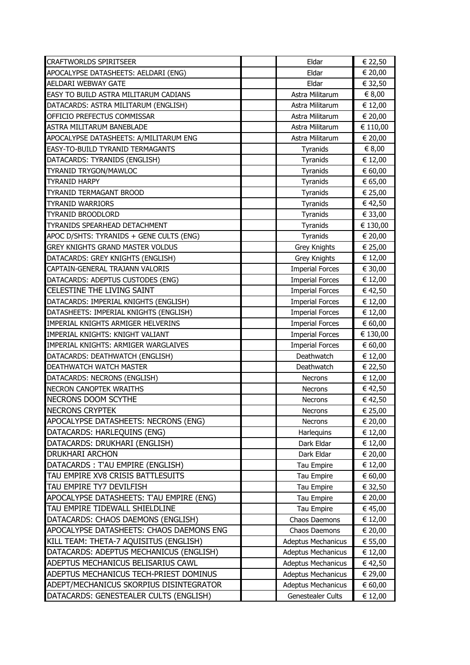| <b>CRAFTWORLDS SPIRITSEER</b>            | Eldar                     | € 22,50  |
|------------------------------------------|---------------------------|----------|
| APOCALYPSE DATASHEETS: AELDARI (ENG)     | Eldar                     | € 20,00  |
| <b>AELDARI WEBWAY GATE</b>               | Eldar                     | € 32,50  |
| EASY TO BUILD ASTRA MILITARUM CADIANS    | Astra Militarum           | € 8,00   |
| DATACARDS: ASTRA MILITARUM (ENGLISH)     | Astra Militarum           | € 12,00  |
| OFFICIO PREFECTUS COMMISSAR              | Astra Militarum           | € 20,00  |
| ASTRA MILITARUM BANEBLADE                | Astra Militarum           | € 110,00 |
| APOCALYPSE DATASHEETS: A/MILITARUM ENG   | Astra Militarum           | € 20,00  |
| EASY-TO-BUILD TYRANID TERMAGANTS         | Tyranids                  | € 8,00   |
| DATACARDS: TYRANIDS (ENGLISH)            | Tyranids                  | € 12,00  |
| <b>TYRANID TRYGON/MAWLOC</b>             | Tyranids                  | € 60,00  |
| <b>TYRANID HARPY</b>                     | Tyranids                  | € 65,00  |
| <b>TYRANID TERMAGANT BROOD</b>           | Tyranids                  | € 25,00  |
| <b>TYRANID WARRIORS</b>                  | Tyranids                  | € 42,50  |
| <b>TYRANID BROODLORD</b>                 | Tyranids                  | € 33,00  |
| TYRANIDS SPEARHEAD DETACHMENT            | Tyranids                  | € 130,00 |
| APOC D/SHTS: TYRANIDS + GENE CULTS (ENG) | Tyranids                  | € 20,00  |
| <b>GREY KNIGHTS GRAND MASTER VOLDUS</b>  | <b>Grey Knights</b>       | € 25,00  |
| DATACARDS: GREY KNIGHTS (ENGLISH)        | Grey Knights              | € 12,00  |
| CAPTAIN-GENERAL TRAJANN VALORIS          | <b>Imperial Forces</b>    | € 30,00  |
| DATACARDS: ADEPTUS CUSTODES (ENG)        | <b>Imperial Forces</b>    | € 12,00  |
| <b>CELESTINE THE LIVING SAINT</b>        | <b>Imperial Forces</b>    | € 42,50  |
| DATACARDS: IMPERIAL KNIGHTS (ENGLISH)    | <b>Imperial Forces</b>    | € 12,00  |
| DATASHEETS: IMPERIAL KNIGHTS (ENGLISH)   | <b>Imperial Forces</b>    | € 12,00  |
| IMPERIAL KNIGHTS ARMIGER HELVERINS       | <b>Imperial Forces</b>    | € 60,00  |
| IMPERIAL KNIGHTS: KNIGHT VALIANT         | <b>Imperial Forces</b>    | € 130,00 |
| IMPERIAL KNIGHTS: ARMIGER WARGLAIVES     | <b>Imperial Forces</b>    | € 60,00  |
| DATACARDS: DEATHWATCH (ENGLISH)          | Deathwatch                | € 12,00  |
| DEATHWATCH WATCH MASTER                  | Deathwatch                | € 22,50  |
| DATACARDS: NECRONS (ENGLISH)             | <b>Necrons</b>            | € 12,00  |
| <b>NECRON CANOPTEK WRAITHS</b>           | <b>Necrons</b>            | € 42,50  |
| NECRONS DOOM SCYTHE                      | <b>Necrons</b>            | € 42,50  |
| NECRONS CRYPTEK                          | Necrons                   | € 25,00  |
| APOCALYPSE DATASHEETS: NECRONS (ENG)     | <b>Necrons</b>            | € 20,00  |
| DATACARDS: HARLEQUINS (ENG)              | Harlequins                | € 12,00  |
| DATACARDS: DRUKHARI (ENGLISH)            | Dark Eldar                | € 12,00  |
| <b>DRUKHARI ARCHON</b>                   | Dark Eldar                | € 20,00  |
| DATACARDS: T'AU EMPIRE (ENGLISH)         | Tau Empire                | € 12,00  |
| TAU EMPIRE XV8 CRISIS BATTLESUITS        | Tau Empire                | € 60,00  |
| TAU EMPIRE TY7 DEVILFISH                 | Tau Empire                | € 32,50  |
| APOCALYPSE DATASHEETS: T'AU EMPIRE (ENG) | Tau Empire                | € 20,00  |
| TAU EMPIRE TIDEWALL SHIELDLINE           | Tau Empire                | € 45,00  |
| DATACARDS: CHAOS DAEMONS (ENGLISH)       | Chaos Daemons             | € 12,00  |
| APOCALYPSE DATASHEETS: CHAOS DAEMONS ENG | Chaos Daemons             | € 20,00  |
| KILL TEAM: THETA-7 AQUISITUS (ENGLISH)   | <b>Adeptus Mechanicus</b> | € 55,00  |
| DATACARDS: ADEPTUS MECHANICUS (ENGLISH)  | <b>Adeptus Mechanicus</b> | € 12,00  |
| ADEPTUS MECHANICUS BELISARIUS CAWL       | Adeptus Mechanicus        | € 42,50  |
| ADEPTUS MECHANICUS TECH-PRIEST DOMINUS   | <b>Adeptus Mechanicus</b> | € 29,00  |
| ADEPT/MECHANICUS SKORPIUS DISINTEGRATOR  | <b>Adeptus Mechanicus</b> | € 60,00  |
| DATACARDS: GENESTEALER CULTS (ENGLISH)   | Genestealer Cults         | € 12,00  |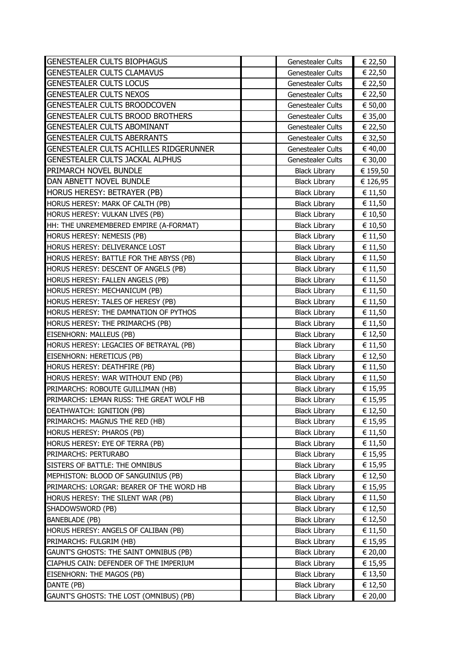| <b>GENESTEALER CULTS BIOPHAGUS</b>       | <b>Genestealer Cults</b> | € 22,50  |
|------------------------------------------|--------------------------|----------|
| <b>GENESTEALER CULTS CLAMAVUS</b>        | Genestealer Cults        | € 22,50  |
| <b>GENESTEALER CULTS LOCUS</b>           | <b>Genestealer Cults</b> | € 22,50  |
| <b>GENESTEALER CULTS NEXOS</b>           | Genestealer Cults        | € 22,50  |
| GENESTEALER CULTS BROODCOVEN             | Genestealer Cults        | € 50,00  |
| GENESTEALER CULTS BROOD BROTHERS         | <b>Genestealer Cults</b> | € 35,00  |
| <b>GENESTEALER CULTS ABOMINANT</b>       | Genestealer Cults        | € 22,50  |
| <b>GENESTEALER CULTS ABERRANTS</b>       | Genestealer Cults        | € 32,50  |
| GENESTEALER CULTS ACHILLES RIDGERUNNER   | Genestealer Cults        | € 40,00  |
| <b>GENESTEALER CULTS JACKAL ALPHUS</b>   | <b>Genestealer Cults</b> | € 30,00  |
| PRIMARCH NOVEL BUNDLE                    | <b>Black Library</b>     | € 159,50 |
| DAN ABNETT NOVEL BUNDLE                  | <b>Black Library</b>     | € 126,95 |
| HORUS HERESY: BETRAYER (PB)              | <b>Black Library</b>     | € 11,50  |
| HORUS HERESY: MARK OF CALTH (PB)         | <b>Black Library</b>     | € 11,50  |
| HORUS HERESY: VULKAN LIVES (PB)          | <b>Black Library</b>     | € 10,50  |
| HH: THE UNREMEMBERED EMPIRE (A-FORMAT)   | <b>Black Library</b>     | € 10,50  |
| HORUS HERESY: NEMESIS (PB)               | <b>Black Library</b>     | € 11,50  |
| HORUS HERESY: DELIVERANCE LOST           | <b>Black Library</b>     | € 11,50  |
| HORUS HERESY: BATTLE FOR THE ABYSS (PB)  | <b>Black Library</b>     | € 11,50  |
| HORUS HERESY: DESCENT OF ANGELS (PB)     | <b>Black Library</b>     | € 11,50  |
| HORUS HERESY: FALLEN ANGELS (PB)         | <b>Black Library</b>     | € 11,50  |
| HORUS HERESY: MECHANICUM (PB)            | <b>Black Library</b>     | € 11,50  |
| HORUS HERESY: TALES OF HERESY (PB)       | <b>Black Library</b>     | € 11,50  |
| HORUS HERESY: THE DAMNATION OF PYTHOS    | <b>Black Library</b>     | € 11,50  |
| HORUS HERESY: THE PRIMARCHS (PB)         | <b>Black Library</b>     | € 11,50  |
| EISENHORN: MALLEUS (PB)                  | <b>Black Library</b>     | € 12,50  |
| HORUS HERESY: LEGACIES OF BETRAYAL (PB)  | <b>Black Library</b>     | € 11,50  |
| EISENHORN: HERETICUS (PB)                | <b>Black Library</b>     | € 12,50  |
| HORUS HERESY: DEATHFIRE (PB)             | <b>Black Library</b>     | € 11,50  |
| HORUS HERESY: WAR WITHOUT END (PB)       | <b>Black Library</b>     | € 11,50  |
| PRIMARCHS: ROBOUTE GUILLIMAN (HB)        | <b>Black Library</b>     | € 15,95  |
| PRIMARCHS: LEMAN RUSS: THE GREAT WOLF HB | <b>Black Library</b>     | € 15,95  |
| DEATHWATCH: IGNITION (PB)                | <b>Black Library</b>     | € 12,50  |
| PRIMARCHS: MAGNUS THE RED (HB)           | <b>Black Library</b>     | € 15,95  |
| <b>HORUS HERESY: PHAROS (PB)</b>         | <b>Black Library</b>     | € 11,50  |
| HORUS HERESY: EYE OF TERRA (PB)          | <b>Black Library</b>     | € 11,50  |
| PRIMARCHS: PERTURABO                     | <b>Black Library</b>     | € 15,95  |
| SISTERS OF BATTLE: THE OMNIBUS           | <b>Black Library</b>     | € 15,95  |
| MEPHISTON: BLOOD OF SANGUINIUS (PB)      | <b>Black Library</b>     | € 12,50  |
| PRIMARCHS: LORGAR: BEARER OF THE WORD HB | <b>Black Library</b>     | € 15,95  |
| HORUS HERESY: THE SILENT WAR (PB)        | <b>Black Library</b>     | € 11,50  |
| SHADOWSWORD (PB)                         | <b>Black Library</b>     | € 12,50  |
| <b>BANEBLADE (PB)</b>                    | <b>Black Library</b>     | € 12,50  |
| HORUS HERESY: ANGELS OF CALIBAN (PB)     | <b>Black Library</b>     | € 11,50  |
| PRIMARCHS: FULGRIM (HB)                  | <b>Black Library</b>     | € 15,95  |
| GAUNT'S GHOSTS: THE SAINT OMNIBUS (PB)   | <b>Black Library</b>     | € 20,00  |
| CIAPHUS CAIN: DEFENDER OF THE IMPERIUM   | <b>Black Library</b>     | € 15,95  |
| EISENHORN: THE MAGOS (PB)                | <b>Black Library</b>     | € 13,50  |
| DANTE (PB)                               | <b>Black Library</b>     | € 12,50  |
| GAUNT'S GHOSTS: THE LOST (OMNIBUS) (PB)  | <b>Black Library</b>     | € 20,00  |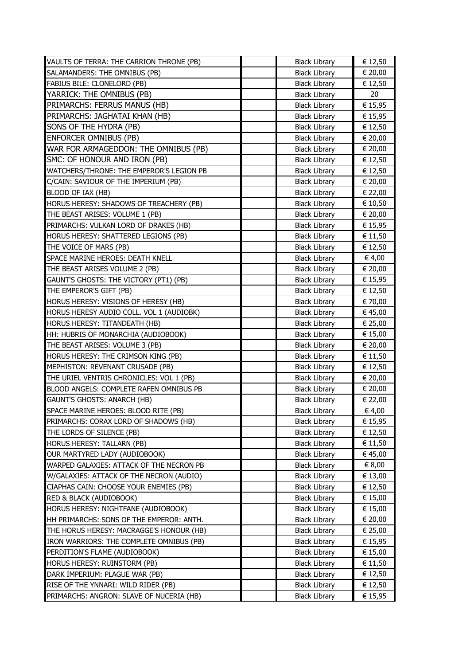| VAULTS OF TERRA: THE CARRION THRONE (PB) | <b>Black Library</b> | € 12,50 |
|------------------------------------------|----------------------|---------|
| SALAMANDERS: THE OMNIBUS (PB)            | <b>Black Library</b> | € 20,00 |
| FABIUS BILE: CLONELORD (PB)              | <b>Black Library</b> | € 12,50 |
| YARRICK: THE OMNIBUS (PB)                | <b>Black Library</b> | 20      |
| PRIMARCHS: FERRUS MANUS (HB)             | <b>Black Library</b> | € 15,95 |
| PRIMARCHS: JAGHATAI KHAN (HB)            | <b>Black Library</b> | € 15,95 |
| SONS OF THE HYDRA (PB)                   | <b>Black Library</b> | € 12,50 |
| <b>ENFORCER OMNIBUS (PB)</b>             | <b>Black Library</b> | € 20,00 |
| WAR FOR ARMAGEDDON: THE OMNIBUS (PB)     | <b>Black Library</b> | € 20,00 |
| SMC: OF HONOUR AND IRON (PB)             | <b>Black Library</b> | € 12,50 |
| WATCHERS/THRONE: THE EMPEROR'S LEGION PB | <b>Black Library</b> | € 12,50 |
| C/CAIN: SAVIOUR OF THE IMPERIUM (PB)     | <b>Black Library</b> | € 20,00 |
| BLOOD OF IAX (HB)                        | <b>Black Library</b> | € 22,00 |
| HORUS HERESY: SHADOWS OF TREACHERY (PB)  | <b>Black Library</b> | € 10,50 |
| THE BEAST ARISES: VOLUME 1 (PB)          | <b>Black Library</b> | € 20,00 |
| PRIMARCHS: VULKAN LORD OF DRAKES (HB)    | <b>Black Library</b> | € 15,95 |
| HORUS HERESY: SHATTERED LEGIONS (PB)     | <b>Black Library</b> | € 11,50 |
| THE VOICE OF MARS (PB)                   | <b>Black Library</b> | € 12,50 |
| SPACE MARINE HEROES: DEATH KNELL         | <b>Black Library</b> | € 4,00  |
| THE BEAST ARISES VOLUME 2 (PB)           | <b>Black Library</b> | € 20,00 |
| GAUNT'S GHOSTS: THE VICTORY (PT1) (PB)   | <b>Black Library</b> | € 15,95 |
| THE EMPEROR'S GIFT (PB)                  | <b>Black Library</b> | € 12,50 |
| HORUS HERESY: VISIONS OF HERESY (HB)     | <b>Black Library</b> | € 70,00 |
| HORUS HERESY AUDIO COLL. VOL 1 (AUDIOBK) | <b>Black Library</b> | € 45,00 |
| HORUS HERESY: TITANDEATH (HB)            | <b>Black Library</b> | € 25,00 |
| HH: HUBRIS OF MONARCHIA (AUDIOBOOK)      | <b>Black Library</b> | € 15,00 |
| THE BEAST ARISES: VOLUME 3 (PB)          | <b>Black Library</b> | € 20,00 |
| HORUS HERESY: THE CRIMSON KING (PB)      | <b>Black Library</b> | € 11,50 |
| MEPHISTON: REVENANT CRUSADE (PB)         | <b>Black Library</b> | € 12,50 |
| THE URIEL VENTRIS CHRONICLES: VOL 1 (PB) | <b>Black Library</b> | € 20,00 |
| BLOOD ANGELS: COMPLETE RAFEN OMNIBUS PB  | <b>Black Library</b> | € 20,00 |
| GAUNT'S GHOSTS: ANARCH (HB)              | <b>Black Library</b> | € 22,00 |
| SPACE MARINE HEROES: BLOOD RITE (PB)     | <b>Black Library</b> | € 4,00  |
| PRIMARCHS: CORAX LORD OF SHADOWS (HB)    | <b>Black Library</b> | € 15,95 |
| THE LORDS OF SILENCE (PB)                | <b>Black Library</b> | € 12,50 |
| HORUS HERESY: TALLARN (PB)               | <b>Black Library</b> | € 11,50 |
| OUR MARTYRED LADY (AUDIOBOOK)            | <b>Black Library</b> | € 45,00 |
| WARPED GALAXIES: ATTACK OF THE NECRON PB | <b>Black Library</b> | € 8,00  |
| W/GALAXIES: ATTACK OF THE NECRON (AUDIO) | <b>Black Library</b> | € 13,00 |
| CIAPHAS CAIN: CHOOSE YOUR ENEMIES (PB)   | <b>Black Library</b> | € 12,50 |
| <b>RED &amp; BLACK (AUDIOBOOK)</b>       | <b>Black Library</b> | € 15,00 |
| HORUS HERESY: NIGHTFANE (AUDIOBOOK)      | <b>Black Library</b> | € 15,00 |
| HH PRIMARCHS: SONS OF THE EMPEROR: ANTH. | <b>Black Library</b> | € 20,00 |
| THE HORUS HERESY: MACRAGGE'S HONOUR (HB) | <b>Black Library</b> | € 25,00 |
| IRON WARRIORS: THE COMPLETE OMNIBUS (PB) | <b>Black Library</b> | € 15,95 |
| PERDITION'S FLAME (AUDIOBOOK)            | <b>Black Library</b> | € 15,00 |
| HORUS HERESY: RUINSTORM (PB)             | <b>Black Library</b> | € 11,50 |
| DARK IMPERIUM: PLAGUE WAR (PB)           | <b>Black Library</b> | € 12,50 |
| RISE OF THE YNNARI: WILD RIDER (PB)      | <b>Black Library</b> | € 12,50 |
| PRIMARCHS: ANGRON: SLAVE OF NUCERIA (HB) | <b>Black Library</b> | € 15,95 |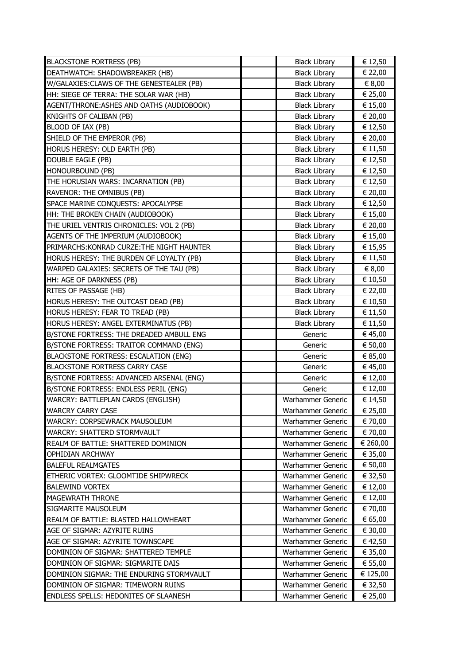| <b>BLACKSTONE FORTRESS (PB)</b>            | <b>Black Library</b> | € 12,50  |
|--------------------------------------------|----------------------|----------|
| DEATHWATCH: SHADOWBREAKER (HB)             | <b>Black Library</b> | € 22,00  |
| W/GALAXIES: CLAWS OF THE GENESTEALER (PB)  | <b>Black Library</b> | € 8,00   |
| HH: SIEGE OF TERRA: THE SOLAR WAR (HB)     | <b>Black Library</b> | € 25,00  |
| AGENT/THRONE: ASHES AND OATHS (AUDIOBOOK)  | <b>Black Library</b> | € 15,00  |
| KNIGHTS OF CALIBAN (PB)                    | <b>Black Library</b> | € 20,00  |
| BLOOD OF IAX (PB)                          | <b>Black Library</b> | € 12,50  |
| SHIELD OF THE EMPEROR (PB)                 | <b>Black Library</b> | € 20,00  |
| HORUS HERESY: OLD EARTH (PB)               | <b>Black Library</b> | € 11,50  |
| <b>DOUBLE EAGLE (PB)</b>                   | <b>Black Library</b> | € 12,50  |
| HONOURBOUND (PB)                           | <b>Black Library</b> | € 12,50  |
| THE HORUSIAN WARS: INCARNATION (PB)        | <b>Black Library</b> | € 12,50  |
| RAVENOR: THE OMNIBUS (PB)                  | <b>Black Library</b> | € 20,00  |
| SPACE MARINE CONQUESTS: APOCALYPSE         | <b>Black Library</b> | € 12,50  |
| HH: THE BROKEN CHAIN (AUDIOBOOK)           | <b>Black Library</b> | € 15,00  |
| THE URIEL VENTRIS CHRONICLES: VOL 2 (PB)   | <b>Black Library</b> | € 20,00  |
| AGENTS OF THE IMPERIUM (AUDIOBOOK)         | <b>Black Library</b> | € 15,00  |
| PRIMARCHS: KONRAD CURZE: THE NIGHT HAUNTER | <b>Black Library</b> | € 15,95  |
| HORUS HERESY: THE BURDEN OF LOYALTY (PB)   | <b>Black Library</b> | € 11,50  |
| WARPED GALAXIES: SECRETS OF THE TAU (PB)   | <b>Black Library</b> | € 8,00   |
| HH: AGE OF DARKNESS (PB)                   | <b>Black Library</b> | € 10,50  |
| <b>RITES OF PASSAGE (HB)</b>               | <b>Black Library</b> | € 22,00  |
| HORUS HERESY: THE OUTCAST DEAD (PB)        | <b>Black Library</b> | € 10,50  |
| HORUS HERESY: FEAR TO TREAD (PB)           | <b>Black Library</b> | € 11,50  |
| HORUS HERESY: ANGEL EXTERMINATUS (PB)      | <b>Black Library</b> | € 11,50  |
| B/STONE FORTRESS: THE DREADED AMBULL ENG   | Generic              | € 45,00  |
| B/STONE FORTRESS: TRAITOR COMMAND (ENG)    | Generic              | € 50,00  |
| BLACKSTONE FORTRESS: ESCALATION (ENG)      | Generic              | € 85,00  |
| <b>BLACKSTONE FORTRESS CARRY CASE</b>      | Generic              | € 45,00  |
| B/STONE FORTRESS: ADVANCED ARSENAL (ENG)   | Generic              | € 12,00  |
| B/STONE FORTRESS: ENDLESS PERIL (ENG)      | Generic              | € 12,00  |
| WARCRY: BATTLEPLAN CARDS (ENGLISH)         | Warhammer Generic    | € 14,50  |
| <b>WARCRY CARRY CASE</b>                   | Warhammer Generic    | € 25,00  |
| <b>WARCRY: CORPSEWRACK MAUSOLEUM</b>       | Warhammer Generic    | € 70,00  |
| <b>WARCRY: SHATTERD STORMVAULT</b>         | Warhammer Generic    | € 70,00  |
| REALM OF BATTLE: SHATTERED DOMINION        | Warhammer Generic    | € 260,00 |
| <b>OPHIDIAN ARCHWAY</b>                    | Warhammer Generic    | € 35,00  |
| <b>BALEFUL REALMGATES</b>                  | Warhammer Generic    | € 50,00  |
| <b>ETHERIC VORTEX: GLOOMTIDE SHIPWRECK</b> | Warhammer Generic    | € 32,50  |
| <b>BALEWIND VORTEX</b>                     | Warhammer Generic    | € 12,00  |
| <b>MAGEWRATH THRONE</b>                    | Warhammer Generic    | € 12,00  |
| SIGMARITE MAUSOLEUM                        | Warhammer Generic    | € 70,00  |
| REALM OF BATTLE: BLASTED HALLOWHEART       | Warhammer Generic    | € 65,00  |
| AGE OF SIGMAR: AZYRITE RUINS               | Warhammer Generic    | € 30,00  |
| AGE OF SIGMAR: AZYRITE TOWNSCAPE           | Warhammer Generic    | € 42,50  |
| DOMINION OF SIGMAR: SHATTERED TEMPLE       | Warhammer Generic    | € 35,00  |
| DOMINION OF SIGMAR: SIGMARITE DAIS         | Warhammer Generic    | € 55,00  |
| DOMINION SIGMAR: THE ENDURING STORMVAULT   | Warhammer Generic    | € 125,00 |
| DOMINION OF SIGMAR: TIMEWORN RUINS         | Warhammer Generic    | € 32,50  |
| ENDLESS SPELLS: HEDONITES OF SLAANESH      | Warhammer Generic    | € 25,00  |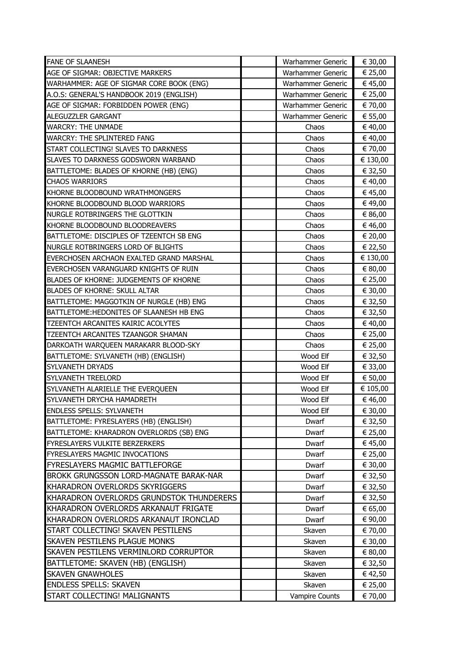| <b>FANE OF SLAANESH</b>                  | Warhammer Generic     | € 30,00  |
|------------------------------------------|-----------------------|----------|
| AGE OF SIGMAR: OBJECTIVE MARKERS         | Warhammer Generic     | € 25,00  |
| WARHAMMER: AGE OF SIGMAR CORE BOOK (ENG) | Warhammer Generic     | € 45,00  |
| A.O.S: GENERAL'S HANDBOOK 2019 (ENGLISH) | Warhammer Generic     | € 25,00  |
| AGE OF SIGMAR: FORBIDDEN POWER (ENG)     | Warhammer Generic     | € 70,00  |
| ALEGUZZLER GARGANT                       | Warhammer Generic     | € 55,00  |
| <b>WARCRY: THE UNMADE</b>                | Chaos                 | € 40,00  |
| <b>WARCRY: THE SPLINTERED FANG</b>       | Chaos                 | € 40,00  |
| START COLLECTING! SLAVES TO DARKNESS     | Chaos                 | € 70,00  |
| SLAVES TO DARKNESS GODSWORN WARBAND      | Chaos                 | € 130,00 |
| BATTLETOME: BLADES OF KHORNE (HB) (ENG)  | Chaos                 | € 32,50  |
| <b>CHAOS WARRIORS</b>                    | Chaos                 | € 40,00  |
| KHORNE BLOODBOUND WRATHMONGERS           | Chaos                 | € 45,00  |
| KHORNE BLOODBOUND BLOOD WARRIORS         | Chaos                 | € 49,00  |
| NURGLE ROTBRINGERS THE GLOTTKIN          | Chaos                 | € 86,00  |
| KHORNE BLOODBOUND BLOODREAVERS           | Chaos                 | € 46,00  |
| BATTLETOME: DISCIPLES OF TZEENTCH SB ENG | Chaos                 | € 20,00  |
| NURGLE ROTBRINGERS LORD OF BLIGHTS       | Chaos                 | € 22,50  |
| EVERCHOSEN ARCHAON EXALTED GRAND MARSHAL | Chaos                 | € 130,00 |
| EVERCHOSEN VARANGUARD KNIGHTS OF RUIN    | Chaos                 | € 80,00  |
| BLADES OF KHORNE: JUDGEMENTS OF KHORNE   | Chaos                 | € 25,00  |
| <b>BLADES OF KHORNE: SKULL ALTAR</b>     | Chaos                 | € 30,00  |
| BATTLETOME: MAGGOTKIN OF NURGLE (HB) ENG | Chaos                 | € 32,50  |
| BATTLETOME:HEDONITES OF SLAANESH HB ENG  | Chaos                 | € 32,50  |
| TZEENTCH ARCANITES KAIRIC ACOLYTES       | Chaos                 | € 40,00  |
| TZEENTCH ARCANITES TZAANGOR SHAMAN       | Chaos                 | € 25,00  |
| DARKOATH WARQUEEN MARAKARR BLOOD-SKY     | Chaos                 | € 25,00  |
| BATTLETOME: SYLVANETH (HB) (ENGLISH)     | Wood Elf              | € 32,50  |
| SYLVANETH DRYADS                         | Wood Elf              | € 33,00  |
| SYLVANETH TREELORD                       | Wood Elf              | € 50,00  |
| SYLVANETH ALARIELLE THE EVERQUEEN        | Wood Elf              | € 105,00 |
| SYLVANETH DRYCHA HAMADRETH               | Wood Elf              | € 46,00  |
| <b>ENDLESS SPELLS: SYLVANETH</b>         | Wood Elf              | € 30,00  |
| BATTLETOME: FYRESLAYERS (HB) (ENGLISH)   | Dwarf                 | € 32,50  |
| BATTLETOME: KHARADRON OVERLORDS (SB) ENG | Dwarf                 | € 25,00  |
| <b>FYRESLAYERS VULKITE BERZERKERS</b>    | Dwarf                 | € 45,00  |
| FYRESLAYERS MAGMIC INVOCATIONS           | Dwarf                 | € 25,00  |
| <b>FYRESLAYERS MAGMIC BATTLEFORGE</b>    | Dwarf                 | € 30,00  |
| BROKK GRUNGSSON LORD-MAGNATE BARAK-NAR   | Dwarf                 | € 32,50  |
| KHARADRON OVERLORDS SKYRIGGERS           | Dwarf                 | € 32,50  |
| KHARADRON OVERLORDS GRUNDSTOK THUNDERERS | Dwarf                 | € 32,50  |
| KHARADRON OVERLORDS ARKANAUT FRIGATE     | Dwarf                 | € 65,00  |
| KHARADRON OVERLORDS ARKANAUT IRONCLAD    | Dwarf                 | € 90,00  |
| START COLLECTING! SKAVEN PESTILENS       | Skaven                | € 70,00  |
| <b>SKAVEN PESTILENS PLAGUE MONKS</b>     | Skaven                | € 30,00  |
| SKAVEN PESTILENS VERMINLORD CORRUPTOR    | Skaven                | € 80,00  |
| BATTLETOME: SKAVEN (HB) (ENGLISH)        | Skaven                | € 32,50  |
| <b>SKAVEN GNAWHOLES</b>                  | Skaven                | € 42,50  |
| <b>ENDLESS SPELLS: SKAVEN</b>            | Skaven                | € 25,00  |
| START COLLECTING! MALIGNANTS             | <b>Vampire Counts</b> | € 70,00  |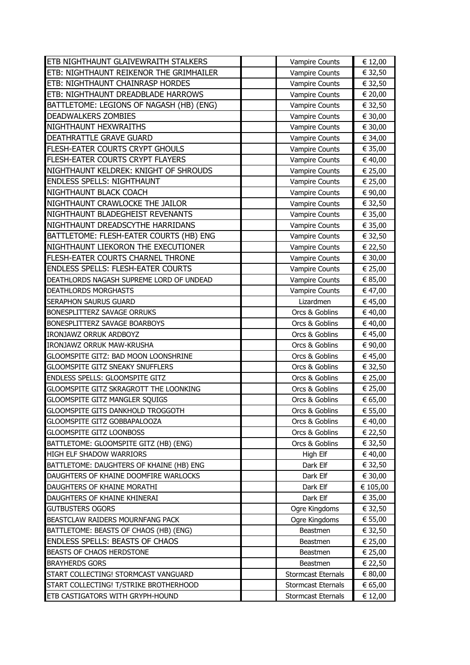| <b>ETB NIGHTHAUNT GLAIVEWRAITH STALKERS</b>   | <b>Vampire Counts</b>     | € 12,00  |
|-----------------------------------------------|---------------------------|----------|
| ETB: NIGHTHAUNT REIKENOR THE GRIMHAILER       | Vampire Counts            | € 32,50  |
| <b>ETB: NIGHTHAUNT CHAINRASP HORDES</b>       | Vampire Counts            | € 32,50  |
| ETB: NIGHTHAUNT DREADBLADE HARROWS            | <b>Vampire Counts</b>     | € 20,00  |
| BATTLETOME: LEGIONS OF NAGASH (HB) (ENG)      | <b>Vampire Counts</b>     | € 32,50  |
| <b>DEADWALKERS ZOMBIES</b>                    | <b>Vampire Counts</b>     | € 30,00  |
| NIGHTHAUNT HEXWRAITHS                         | Vampire Counts            | € 30,00  |
| DEATHRATTLE GRAVE GUARD                       | <b>Vampire Counts</b>     | € 34,00  |
| <b>FLESH-EATER COURTS CRYPT GHOULS</b>        | <b>Vampire Counts</b>     | € 35,00  |
| FLESH-EATER COURTS CRYPT FLAYERS              | <b>Vampire Counts</b>     | € 40,00  |
| NIGHTHAUNT KELDREK: KNIGHT OF SHROUDS         | Vampire Counts            | € 25,00  |
| <b>ENDLESS SPELLS: NIGHTHAUNT</b>             | Vampire Counts            | € 25,00  |
| NIGHTHAUNT BLACK COACH                        | Vampire Counts            | € 90,00  |
| NIGHTHAUNT CRAWLOCKE THE JAILOR               | <b>Vampire Counts</b>     | € 32,50  |
| NIGHTHAUNT BLADEGHEIST REVENANTS              | <b>Vampire Counts</b>     | € 35,00  |
| NIGHTHAUNT DREADSCYTHE HARRIDANS              | <b>Vampire Counts</b>     | € 35,00  |
| BATTLETOME: FLESH-EATER COURTS (HB) ENG       | Vampire Counts            | € 32,50  |
| NIGHTHAUNT LIEKORON THE EXECUTIONER           | Vampire Counts            | € 22,50  |
| FLESH-EATER COURTS CHARNEL THRONE             | Vampire Counts            | € 30,00  |
| <b>ENDLESS SPELLS: FLESH-EATER COURTS</b>     | <b>Vampire Counts</b>     | € 25,00  |
| DEATHLORDS NAGASH SUPREME LORD OF UNDEAD      | Vampire Counts            | € 85,00  |
| <b>DEATHLORDS MORGHASTS</b>                   | Vampire Counts            | € 47,00  |
| <b>SERAPHON SAURUS GUARD</b>                  | Lizardmen                 | € 45,00  |
| <b>BONESPLITTERZ SAVAGE ORRUKS</b>            | Orcs & Goblins            | € 40,00  |
| BONESPLITTERZ SAVAGE BOARBOYS                 | Orcs & Goblins            | € 40,00  |
| <b>IRONJAWZ ORRUK ARDBOYZ</b>                 | Orcs & Goblins            | € 45,00  |
| IRONJAWZ ORRUK MAW-KRUSHA                     | Orcs & Goblins            | € 90,00  |
| GLOOMSPITE GITZ: BAD MOON LOONSHRINE          | Orcs & Goblins            | € 45,00  |
| <b>GLOOMSPITE GITZ SNEAKY SNUFFLERS</b>       | Orcs & Goblins            | € 32,50  |
| <b>ENDLESS SPELLS: GLOOMSPITE GITZ</b>        | Orcs & Goblins            | € 25,00  |
| <b>GLOOMSPITE GITZ SKRAGROTT THE LOONKING</b> | Orcs & Goblins            | € 25,00  |
| GLOOMSPITE GITZ MANGLER SQUIGS                | Orcs & Goblins            | € 65,00  |
| GLOOMSPITE GITS DANKHOLD TROGGOTH             | Orcs & Goblins            | € 55,00  |
| GLOOMSPITE GITZ GOBBAPALOOZA                  | Orcs & Goblins            | € 40,00  |
| <b>GLOOMSPITE GITZ LOONBOSS</b>               | Orcs & Goblins            | € 22,50  |
| BATTLETOME: GLOOMSPITE GITZ (HB) (ENG)        | Orcs & Goblins            | € 32,50  |
| HIGH ELF SHADOW WARRIORS                      | High Elf                  | € 40,00  |
| BATTLETOME: DAUGHTERS OF KHAINE (HB) ENG      | Dark Elf                  | € 32,50  |
| DAUGHTERS OF KHAINE DOOMFIRE WARLOCKS         | Dark Elf                  | € 30,00  |
| DAUGHTERS OF KHAINE MORATHI                   | Dark Elf                  | € 105,00 |
| DAUGHTERS OF KHAINE KHINERAI                  | Dark Elf                  | € 35,00  |
| <b>GUTBUSTERS OGORS</b>                       | Ogre Kingdoms             | € 32,50  |
| BEASTCLAW RAIDERS MOURNFANG PACK              | Ogre Kingdoms             | € 55,00  |
| BATTLETOME: BEASTS OF CHAOS (HB) (ENG)        | Beastmen                  | € 32,50  |
| <b>ENDLESS SPELLS: BEASTS OF CHAOS</b>        | Beastmen                  | € 25,00  |
| <b>BEASTS OF CHAOS HERDSTONE</b>              | <b>Beastmen</b>           | € 25,00  |
| <b>BRAYHERDS GORS</b>                         | Beastmen                  | € 22,50  |
| START COLLECTING! STORMCAST VANGUARD          | <b>Stormcast Eternals</b> | € 80,00  |
| START COLLECTING! T/STRIKE BROTHERHOOD        | <b>Stormcast Eternals</b> | € 65,00  |
| ETB CASTIGATORS WITH GRYPH-HOUND              | <b>Stormcast Eternals</b> | € 12,00  |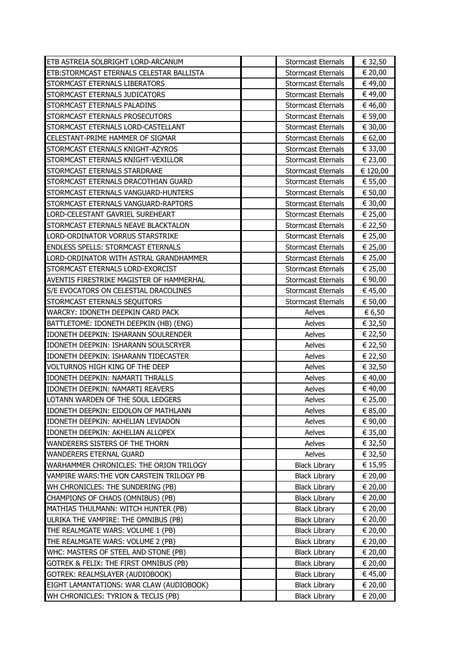| ETB ASTREIA SOLBRIGHT LORD-ARCANUM        | <b>Stormcast Eternals</b> | € 32,50  |
|-------------------------------------------|---------------------------|----------|
| ETB: STORMCAST ETERNALS CELESTAR BALLISTA | <b>Stormcast Eternals</b> | € 20,00  |
| STORMCAST ETERNALS LIBERATORS             | <b>Stormcast Eternals</b> | € 49,00  |
| STORMCAST ETERNALS JUDICATORS             | <b>Stormcast Eternals</b> | € 49,00  |
| STORMCAST ETERNALS PALADINS               | <b>Stormcast Eternals</b> | € 46,00  |
| STORMCAST ETERNALS PROSECUTORS            | <b>Stormcast Eternals</b> | € 59,00  |
| STORMCAST ETERNALS LORD-CASTELLANT        | <b>Stormcast Eternals</b> | € 30,00  |
| CELESTANT-PRIME HAMMER OF SIGMAR          | <b>Stormcast Eternals</b> | € 62,00  |
| STORMCAST ETERNALS KNIGHT-AZYROS          | <b>Stormcast Eternals</b> | € 33,00  |
| STORMCAST ETERNALS KNIGHT-VEXILLOR        | <b>Stormcast Eternals</b> | € 23,00  |
| STORMCAST ETERNALS STARDRAKE              | <b>Stormcast Eternals</b> | € 120,00 |
| STORMCAST ETERNALS DRACOTHIAN GUARD       | <b>Stormcast Eternals</b> | € 55,00  |
| STORMCAST ETERNALS VANGUARD-HUNTERS       | <b>Stormcast Eternals</b> | € 50,00  |
| STORMCAST ETERNALS VANGUARD-RAPTORS       | <b>Stormcast Eternals</b> | € 30,00  |
| LORD-CELESTANT GAVRIEL SUREHEART          | <b>Stormcast Eternals</b> | € 25,00  |
| STORMCAST ETERNALS NEAVE BLACKTALON       | <b>Stormcast Eternals</b> | € 22,50  |
| LORD-ORDINATOR VORRUS STARSTRIKE          | <b>Stormcast Eternals</b> | € 25,00  |
| <b>ENDLESS SPELLS: STORMCAST ETERNALS</b> | <b>Stormcast Eternals</b> | € 25,00  |
| LORD-ORDINATOR WITH ASTRAL GRANDHAMMER    | <b>Stormcast Eternals</b> | € 25,00  |
| STORMCAST ETERNALS LORD-EXORCIST          | <b>Stormcast Eternals</b> | € 25,00  |
| AVENTIS FIRESTRIKE MAGISTER OF HAMMERHAL  | <b>Stormcast Eternals</b> | € 90,00  |
| S/E EVOCATORS ON CELESTIAL DRACOLINES     | <b>Stormcast Eternals</b> | € 45,00  |
| STORMCAST ETERNALS SEQUITORS              | <b>Stormcast Eternals</b> | € 50,00  |
| WARCRY: IDONETH DEEPKIN CARD PACK         | Aelves                    | € 6,50   |
| BATTLETOME: IDONETH DEEPKIN (HB) (ENG)    | Aelves                    | € 32,50  |
| IDONETH DEEPKIN: ISHARANN SOULRENDER      | Aelves                    | € 22,50  |
| IDONETH DEEPKIN: ISHARANN SOULSCRYER      | Aelves                    | € 22,50  |
| IDONETH DEEPKIN: ISHARANN TIDECASTER      | Aelves                    | € 22,50  |
| VOLTURNOS HIGH KING OF THE DEEP           | Aelves                    | € 32,50  |
| IDONETH DEEPKIN: NAMARTI THRALLS          | Aelves                    | € 40,00  |
| IDONETH DEEPKIN: NAMARTI REAVERS          | Aelves                    | € 40,00  |
| LOTANN WARDEN OF THE SOUL LEDGERS         | Aelves                    | € 25,00  |
| IDONETH DEEPKIN: EIDOLON OF MATHLANN      | Aelves                    | € 85,00  |
| IDONETH DEEPKIN: AKHELIAN LEVIADON        | Aelves                    | € 90,00  |
| IDONETH DEEPKIN: AKHELIAN ALLOPEX         | Aelves                    | € 35,00  |
| WANDERERS SISTERS OF THE THORN            | Aelves                    | € 32,50  |
| WANDERERS ETERNAL GUARD                   | Aelves                    | € 32,50  |
| WARHAMMER CHRONICLES: THE ORION TRILOGY   | <b>Black Library</b>      | € 15,95  |
| VAMPIRE WARS: THE VON CARSTEIN TRILOGY PB | <b>Black Library</b>      | € 20,00  |
| WH CHRONICLES: THE SUNDERING (PB)         | <b>Black Library</b>      | € 20,00  |
| CHAMPIONS OF CHAOS (OMNIBUS) (PB)         | <b>Black Library</b>      | € 20,00  |
| MATHIAS THULMANN: WITCH HUNTER (PB)       | <b>Black Library</b>      | € 20,00  |
| ULRIKA THE VAMPIRE: THE OMNIBUS (PB)      | <b>Black Library</b>      | € 20,00  |
| THE REALMGATE WARS: VOLUME 1 (PB)         | <b>Black Library</b>      | € 20,00  |
| THE REALMGATE WARS: VOLUME 2 (PB)         | <b>Black Library</b>      | € 20,00  |
| WHC: MASTERS OF STEEL AND STONE (PB)      | <b>Black Library</b>      | € 20,00  |
| GOTREK & FELIX: THE FIRST OMNIBUS (PB)    | <b>Black Library</b>      | € 20,00  |
| GOTREK: REALMSLAYER (AUDIOBOOK)           | <b>Black Library</b>      | € 45,00  |
| EIGHT LAMANTATIONS: WAR CLAW (AUDIOBOOK)  | <b>Black Library</b>      | € 20,00  |
| WH CHRONICLES: TYRION & TECLIS (PB)       | <b>Black Library</b>      | € 20,00  |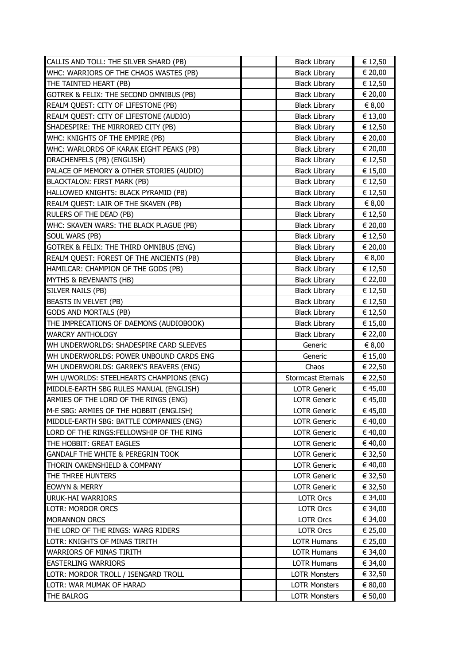| CALLIS AND TOLL: THE SILVER SHARD (PB)       | <b>Black Library</b>                         | € 12,50            |
|----------------------------------------------|----------------------------------------------|--------------------|
| WHC: WARRIORS OF THE CHAOS WASTES (PB)       | <b>Black Library</b>                         | € 20,00            |
| THE TAINTED HEART (PB)                       | <b>Black Library</b>                         | € 12,50            |
| GOTREK & FELIX: THE SECOND OMNIBUS (PB)      | <b>Black Library</b>                         | € 20,00            |
| REALM QUEST: CITY OF LIFESTONE (PB)          | <b>Black Library</b>                         | € 8,00             |
| REALM QUEST: CITY OF LIFESTONE (AUDIO)       | <b>Black Library</b>                         | € 13,00            |
| SHADESPIRE: THE MIRRORED CITY (PB)           | <b>Black Library</b>                         | € 12,50            |
| WHC: KNIGHTS OF THE EMPIRE (PB)              | <b>Black Library</b>                         | € 20,00            |
| WHC: WARLORDS OF KARAK EIGHT PEAKS (PB)      | <b>Black Library</b>                         | € 20,00            |
| DRACHENFELS (PB) (ENGLISH)                   | <b>Black Library</b>                         | € 12,50            |
| PALACE OF MEMORY & OTHER STORIES (AUDIO)     | <b>Black Library</b>                         | € 15,00            |
| <b>BLACKTALON: FIRST MARK (PB)</b>           | <b>Black Library</b>                         | € 12,50            |
| HALLOWED KNIGHTS: BLACK PYRAMID (PB)         | <b>Black Library</b>                         | € 12,50            |
| REALM QUEST: LAIR OF THE SKAVEN (PB)         | <b>Black Library</b>                         | € 8,00             |
| RULERS OF THE DEAD (PB)                      | <b>Black Library</b>                         | € 12,50            |
| WHC: SKAVEN WARS: THE BLACK PLAGUE (PB)      | <b>Black Library</b>                         | € 20,00            |
| SOUL WARS (PB)                               | <b>Black Library</b>                         | € 12,50            |
| GOTREK & FELIX: THE THIRD OMNIBUS (ENG)      | <b>Black Library</b>                         | € 20,00            |
| REALM QUEST: FOREST OF THE ANCIENTS (PB)     | <b>Black Library</b>                         | $\in 8,00$         |
| HAMILCAR: CHAMPION OF THE GODS (PB)          | <b>Black Library</b>                         | € 12,50            |
| <b>MYTHS &amp; REVENANTS (HB)</b>            | <b>Black Library</b>                         | € 22,00            |
| SILVER NAILS (PB)                            | <b>Black Library</b>                         | € 12,50            |
| BEASTS IN VELVET (PB)                        | <b>Black Library</b>                         | € 12,50            |
| <b>GODS AND MORTALS (PB)</b>                 | <b>Black Library</b>                         | € 12,50            |
| THE IMPRECATIONS OF DAEMONS (AUDIOBOOK)      | <b>Black Library</b>                         | € 15,00            |
|                                              |                                              |                    |
| <b>WARCRY ANTHOLOGY</b>                      | <b>Black Library</b>                         | € 22,00            |
| WH UNDERWORLDS: SHADESPIRE CARD SLEEVES      | Generic                                      | € 8,00             |
| WH UNDERWORLDS: POWER UNBOUND CARDS ENG      | Generic                                      | € 15,00            |
| WH UNDERWORLDS: GARREK'S REAVERS (ENG)       | Chaos                                        | € 22,50            |
| WH U/WORLDS: STEELHEARTS CHAMPIONS (ENG)     | <b>Stormcast Eternals</b>                    | € 22,50            |
| MIDDLE-EARTH SBG RULES MANUAL (ENGLISH)      | <b>LOTR Generic</b>                          | € 45,00            |
| ARMIES OF THE LORD OF THE RINGS (ENG)        | <b>LOTR Generic</b>                          | € 45,00            |
| M-E SBG: ARMIES OF THE HOBBIT (ENGLISH)      | LOTR Generic                                 | € 45,00            |
| MIDDLE-EARTH SBG: BATTLE COMPANIES (ENG)     | <b>LOTR Generic</b>                          | € 40,00            |
| LORD OF THE RINGS: FELLOWSHIP OF THE RING    | <b>LOTR Generic</b>                          | € 40,00            |
| THE HOBBIT: GREAT EAGLES                     | <b>LOTR Generic</b>                          | € 40,00            |
| <b>GANDALF THE WHITE &amp; PEREGRIN TOOK</b> | <b>LOTR Generic</b>                          | € 32,50            |
| THORIN OAKENSHIELD & COMPANY                 | <b>LOTR Generic</b>                          | € 40,00            |
| THE THREE HUNTERS                            | <b>LOTR Generic</b>                          | € 32,50            |
| <b>EOWYN &amp; MERRY</b>                     | <b>LOTR Generic</b>                          | € 32,50            |
| <b>URUK-HAI WARRIORS</b>                     | <b>LOTR Orcs</b>                             | € 34,00            |
| <b>LOTR: MORDOR ORCS</b>                     | LOTR Orcs                                    | € 34,00            |
| <b>MORANNON ORCS</b>                         | <b>LOTR Orcs</b>                             | € 34,00            |
| THE LORD OF THE RINGS: WARG RIDERS           | <b>LOTR Orcs</b>                             | € 25,00            |
| LOTR: KNIGHTS OF MINAS TIRITH                | <b>LOTR Humans</b>                           | € 25,00            |
| <b>WARRIORS OF MINAS TIRITH</b>              | <b>LOTR Humans</b>                           | € 34,00            |
| <b>EASTERLING WARRIORS</b>                   | <b>LOTR Humans</b>                           | € 34,00            |
| LOTR: MORDOR TROLL / ISENGARD TROLL          | <b>LOTR Monsters</b>                         | € 32,50            |
| LOTR: WAR MUMAK OF HARAD<br>THE BALROG       | <b>LOTR Monsters</b><br><b>LOTR Monsters</b> | € 80,00<br>€ 50,00 |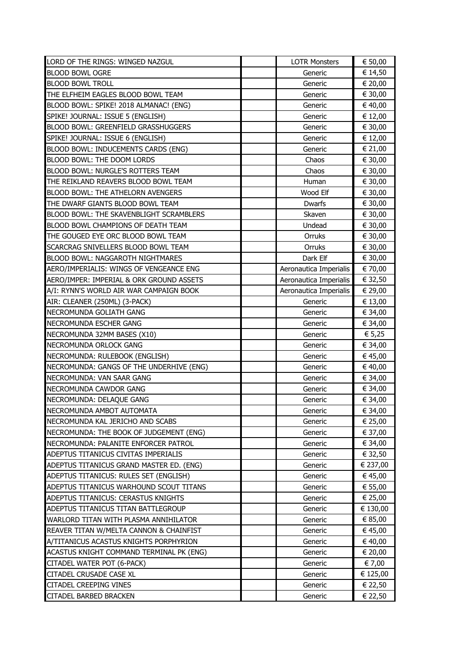| LORD OF THE RINGS: WINGED NAZGUL         | <b>LOTR Monsters</b>   | € 50,00  |
|------------------------------------------|------------------------|----------|
| <b>BLOOD BOWL OGRE</b>                   | Generic                | € 14,50  |
| <b>BLOOD BOWL TROLL</b>                  | Generic                | € 20,00  |
| THE ELFHEIM EAGLES BLOOD BOWL TEAM       | Generic                | € 30,00  |
| BLOOD BOWL: SPIKE! 2018 ALMANAC! (ENG)   | Generic                | € 40,00  |
| SPIKE! JOURNAL: ISSUE 5 (ENGLISH)        | Generic                | € 12,00  |
| BLOOD BOWL: GREENFIELD GRASSHUGGERS      | Generic                | € 30,00  |
| SPIKE! JOURNAL: ISSUE 6 (ENGLISH)        | Generic                | € 12,00  |
| BLOOD BOWL: INDUCEMENTS CARDS (ENG)      | Generic                | € 21,00  |
| BLOOD BOWL: THE DOOM LORDS               | Chaos                  | € 30,00  |
| BLOOD BOWL: NURGLE'S ROTTERS TEAM        | Chaos                  | € 30,00  |
| THE REIKLAND REAVERS BLOOD BOWL TEAM     | Human                  | € 30,00  |
| BLOOD BOWL: THE ATHELORN AVENGERS        | Wood Elf               | € 30,00  |
| THE DWARF GIANTS BLOOD BOWL TEAM         | Dwarfs                 | € 30,00  |
| BLOOD BOWL: THE SKAVENBLIGHT SCRAMBLERS  | Skaven                 | € 30,00  |
| BLOOD BOWL CHAMPIONS OF DEATH TEAM       | Undead                 | € 30,00  |
| THE GOUGED EYE ORC BLOOD BOWL TEAM       | Orruks                 | € 30,00  |
| SCARCRAG SNIVELLERS BLOOD BOWL TEAM      | Orruks                 | € 30,00  |
| BLOOD BOWL: NAGGAROTH NIGHTMARES         | Dark Elf               | € 30,00  |
| AERO/IMPERIALIS: WINGS OF VENGEANCE ENG  | Aeronautica Imperialis | € 70,00  |
| AERO/IMPER: IMPERIAL & ORK GROUND ASSETS | Aeronautica Imperialis | € 32,50  |
| A/I: RYNN'S WORLD AIR WAR CAMPAIGN BOOK  | Aeronautica Imperialis | € 29,00  |
| AIR: CLEANER (250ML) (3-PACK)            | Generic                | € 13,00  |
| NECROMUNDA GOLIATH GANG                  | Generic                | € 34,00  |
| NECROMUNDA ESCHER GANG                   | Generic                | € 34,00  |
| NECROMUNDA 32MM BASES (X10)              | Generic                | € 5,25   |
| NECROMUNDA ORLOCK GANG                   | Generic                | € 34,00  |
| NECROMUNDA: RULEBOOK (ENGLISH)           | Generic                | € 45,00  |
| NECROMUNDA: GANGS OF THE UNDERHIVE (ENG) | Generic                | € 40,00  |
| NECROMUNDA: VAN SAAR GANG                | Generic                | € 34,00  |
| NECROMUNDA CAWDOR GANG                   | Generic                | € 34,00  |
| NECROMUNDA: DELAQUE GANG                 | Generic                | € 34,00  |
| NECROMUNDA AMBOT AUTOMATA                | Generic                | € 34,00  |
| NECROMUNDA KAL JERICHO AND SCABS         | Generic                | € 25,00  |
| NECROMUNDA: THE BOOK OF JUDGEMENT (ENG)  | Generic                | € 37,00  |
| NECROMUNDA: PALANITE ENFORCER PATROL     | Generic                | € 34,00  |
| ADEPTUS TITANICUS CIVITAS IMPERIALIS     | Generic                | € 32,50  |
| ADEPTUS TITANICUS GRAND MASTER ED. (ENG) | Generic                | € 237,00 |
| ADEPTUS TITANICUS: RULES SET (ENGLISH)   | Generic                | € 45,00  |
| ADEPTUS TITANICUS WARHOUND SCOUT TITANS  | Generic                | € 55,00  |
| ADEPTUS TITANICUS: CERASTUS KNIGHTS      | Generic                | € 25,00  |
| ADEPTUS TITANICUS TITAN BATTLEGROUP      | Generic                | € 130,00 |
| WARLORD TITAN WITH PLASMA ANNIHILATOR    | Generic                | € 85,00  |
| REAVER TITAN W/MELTA CANNON & CHAINFIST  | Generic                | € 45,00  |
| A/TITANICUS ACASTUS KNIGHTS PORPHYRION   | Generic                | € 40,00  |
| ACASTUS KNIGHT COMMAND TERMINAL PK (ENG) | Generic                | € 20,00  |
| CITADEL WATER POT (6-PACK)               | Generic                | € 7,00   |
| <b>CITADEL CRUSADE CASE XL</b>           | Generic                | € 125,00 |
| <b>CITADEL CREEPING VINES</b>            | Generic                | € 22,50  |
| <b>CITADEL BARBED BRACKEN</b>            | Generic                | € 22,50  |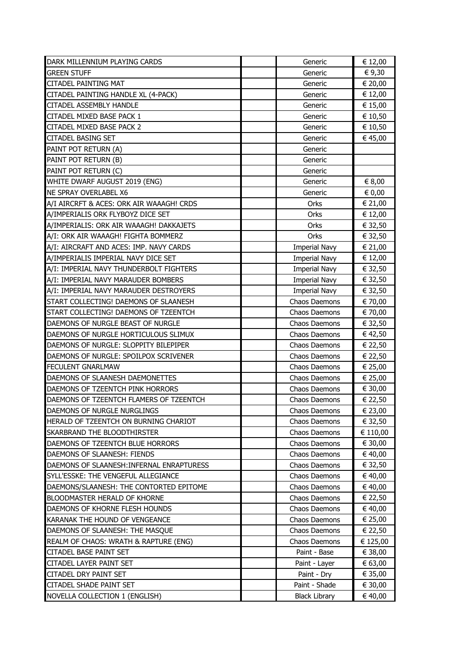| DARK MILLENNIUM PLAYING CARDS             | Generic              | € 12,00  |
|-------------------------------------------|----------------------|----------|
| <b>GREEN STUFF</b>                        | Generic              | € 9,30   |
| <b>CITADEL PAINTING MAT</b>               | Generic              | € 20,00  |
| CITADEL PAINTING HANDLE XL (4-PACK)       | Generic              | € 12,00  |
| <b>CITADEL ASSEMBLY HANDLE</b>            | Generic              | € 15,00  |
| CITADEL MIXED BASE PACK 1                 | Generic              | € 10,50  |
| CITADEL MIXED BASE PACK 2                 | Generic              | € 10,50  |
| <b>CITADEL BASING SET</b>                 | Generic              | € 45,00  |
| PAINT POT RETURN (A)                      | Generic              |          |
| PAINT POT RETURN (B)                      | Generic              |          |
| PAINT POT RETURN (C)                      | Generic              |          |
| WHITE DWARF AUGUST 2019 (ENG)             | Generic              | € 8,00   |
| <b>NE SPRAY OVERLABEL X6</b>              | Generic              | € 0,00   |
| A/I AIRCRFT & ACES: ORK AIR WAAAGH! CRDS  | Orks                 | € 21,00  |
| A/IMPERIALIS ORK FLYBOYZ DICE SET         | Orks                 | € 12,00  |
| A/IMPERIALIS: ORK AIR WAAAGH! DAKKAJETS   | Orks                 | € 32,50  |
| A/I: ORK AIR WAAAGH! FIGHTA BOMMERZ       | Orks                 | € 32,50  |
| A/I: AIRCRAFT AND ACES: IMP. NAVY CARDS   | <b>Imperial Navy</b> | € 21,00  |
| A/IMPERIALIS IMPERIAL NAVY DICE SET       | <b>Imperial Navy</b> | € 12,00  |
| A/I: IMPERIAL NAVY THUNDERBOLT FIGHTERS   | <b>Imperial Navy</b> | € 32,50  |
| A/I: IMPERIAL NAVY MARAUDER BOMBERS       | <b>Imperial Navy</b> | € 32,50  |
| A/I: IMPERIAL NAVY MARAUDER DESTROYERS    | <b>Imperial Navy</b> | € 32,50  |
| START COLLECTING! DAEMONS OF SLAANESH     | Chaos Daemons        | € 70,00  |
| START COLLECTING! DAEMONS OF TZEENTCH     | Chaos Daemons        | € 70,00  |
| DAEMONS OF NURGLE BEAST OF NURGLE         | Chaos Daemons        | € 32,50  |
| DAEMONS OF NURGLE HORTICULOUS SLIMUX      | Chaos Daemons        | € 42,50  |
| DAEMONS OF NURGLE: SLOPPITY BILEPIPER     | Chaos Daemons        | € 22,50  |
| DAEMONS OF NURGLE: SPOILPOX SCRIVENER     | Chaos Daemons        | € 22,50  |
| <b>FECULENT GNARLMAW</b>                  | Chaos Daemons        | € 25,00  |
| DAEMONS OF SLAANESH DAEMONETTES           | Chaos Daemons        | € 25,00  |
| DAEMONS OF TZEENTCH PINK HORRORS          | Chaos Daemons        | € 30,00  |
| DAEMONS OF TZEENTCH FLAMERS OF TZEENTCH   | Chaos Daemons        | € 22,50  |
| DAEMONS OF NURGLE NURGLINGS               | Chaos Daemons        | € 23,00  |
| HERALD OF TZEENTCH ON BURNING CHARIOT     | Chaos Daemons        | € 32,50  |
| <b>SKARBRAND THE BLOODTHIRSTER</b>        | Chaos Daemons        | € 110,00 |
| DAEMONS OF TZEENTCH BLUE HORRORS          | Chaos Daemons        | € 30,00  |
| DAEMONS OF SLAANESH: FIENDS               | Chaos Daemons        | € 40,00  |
| DAEMONS OF SLAANESH: INFERNAL ENRAPTURESS | Chaos Daemons        | € 32,50  |
| SYLL'ESSKE: THE VENGEFUL ALLEGIANCE       | Chaos Daemons        | € 40,00  |
| DAEMONS/SLAANESH: THE CONTORTED EPITOME   | Chaos Daemons        | € 40,00  |
| BLOODMASTER HERALD OF KHORNE              | Chaos Daemons        | € 22,50  |
| DAEMONS OF KHORNE FLESH HOUNDS            | Chaos Daemons        | € 40,00  |
| KARANAK THE HOUND OF VENGEANCE            | Chaos Daemons        | € 25,00  |
| DAEMONS OF SLAANESH: THE MASQUE           | Chaos Daemons        | € 22,50  |
| REALM OF CHAOS: WRATH & RAPTURE (ENG)     | Chaos Daemons        | € 125,00 |
| CITADEL BASE PAINT SET                    | Paint - Base         | € 38,00  |
| CITADEL LAYER PAINT SET                   | Paint - Layer        | € 63,00  |
| <b>CITADEL DRY PAINT SET</b>              | Paint - Dry          | € 35,00  |
| <b>CITADEL SHADE PAINT SET</b>            | Paint - Shade        | € 30,00  |
| NOVELLA COLLECTION 1 (ENGLISH)            | <b>Black Library</b> | € 40,00  |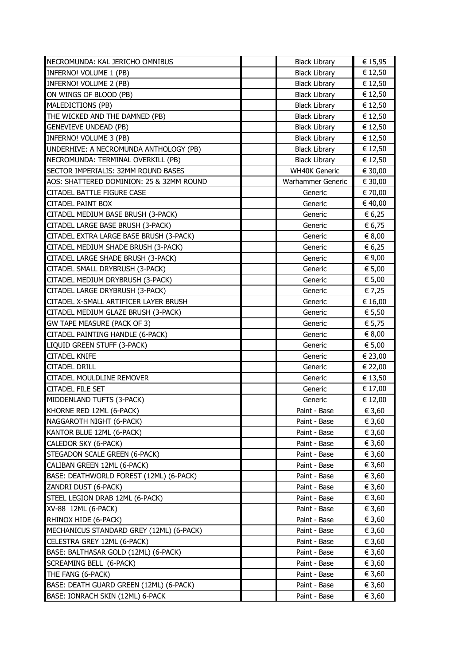| NECROMUNDA: KAL JERICHO OMNIBUS          | <b>Black Library</b> | € 15,95 |
|------------------------------------------|----------------------|---------|
| INFERNO! VOLUME 1 (PB)                   | <b>Black Library</b> | € 12,50 |
| INFERNO! VOLUME 2 (PB)                   | <b>Black Library</b> | € 12,50 |
| ON WINGS OF BLOOD (PB)                   | <b>Black Library</b> | € 12,50 |
| MALEDICTIONS (PB)                        | <b>Black Library</b> | € 12,50 |
| THE WICKED AND THE DAMNED (PB)           | <b>Black Library</b> | € 12,50 |
| <b>GENEVIEVE UNDEAD (PB)</b>             | <b>Black Library</b> | € 12,50 |
| INFERNO! VOLUME 3 (PB)                   | <b>Black Library</b> | € 12,50 |
| UNDERHIVE: A NECROMUNDA ANTHOLOGY (PB)   | <b>Black Library</b> | € 12,50 |
| NECROMUNDA: TERMINAL OVERKILL (PB)       | <b>Black Library</b> | € 12,50 |
| SECTOR IMPERIALIS: 32MM ROUND BASES      | <b>WH40K Generic</b> | € 30,00 |
| AOS: SHATTERED DOMINION: 25 & 32MM ROUND | Warhammer Generic    | € 30,00 |
| <b>CITADEL BATTLE FIGURE CASE</b>        | Generic              | € 70,00 |
| <b>CITADEL PAINT BOX</b>                 | Generic              | € 40,00 |
| CITADEL MEDIUM BASE BRUSH (3-PACK)       | Generic              | € 6,25  |
| CITADEL LARGE BASE BRUSH (3-PACK)        | Generic              | € 6,75  |
| CITADEL EXTRA LARGE BASE BRUSH (3-PACK)  | Generic              | € 8,00  |
| CITADEL MEDIUM SHADE BRUSH (3-PACK)      | Generic              | € 6,25  |
| CITADEL LARGE SHADE BRUSH (3-PACK)       | Generic              | € 9,00  |
| CITADEL SMALL DRYBRUSH (3-PACK)          | Generic              | € 5,00  |
| CITADEL MEDIUM DRYBRUSH (3-PACK)         | Generic              | € 5,00  |
| CITADEL LARGE DRYBRUSH (3-PACK)          | Generic              | € 7,25  |
| CITADEL X-SMALL ARTIFICER LAYER BRUSH    | Generic              | € 16,00 |
| CITADEL MEDIUM GLAZE BRUSH (3-PACK)      | Generic              | € 5,50  |
| GW TAPE MEASURE (PACK OF 3)              | Generic              | € 5,75  |
| CITADEL PAINTING HANDLE (6-PACK)         | Generic              | € 8,00  |
| LIQUID GREEN STUFF (3-PACK)              | Generic              | € 5,00  |
| <b>CITADEL KNIFE</b>                     | Generic              | € 23,00 |
| <b>CITADEL DRILL</b>                     | Generic              | € 22,00 |
| <b>CITADEL MOULDLINE REMOVER</b>         | Generic              | € 13,50 |
| <b>CITADEL FILE SET</b>                  | Generic              | € 17,00 |
| MIDDENLAND TUFTS (3-PACK)                | Generic              | € 12,00 |
| KHORNE RED 12ML (6-PACK)                 | Paint - Base         | € 3,60  |
| NAGGAROTH NIGHT (6-PACK)                 | Paint - Base         | € 3,60  |
| KANTOR BLUE 12ML (6-PACK)                | Paint - Base         | € 3,60  |
| CALEDOR SKY (6-PACK)                     | Paint - Base         | € 3,60  |
| STEGADON SCALE GREEN (6-PACK)            | Paint - Base         | € 3,60  |
| CALIBAN GREEN 12ML (6-PACK)              | Paint - Base         | € 3,60  |
| BASE: DEATHWORLD FOREST (12ML) (6-PACK)  | Paint - Base         | € 3,60  |
| ZANDRI DUST (6-PACK)                     | Paint - Base         | € 3,60  |
| STEEL LEGION DRAB 12ML (6-PACK)          | Paint - Base         | € 3,60  |
| XV-88 12ML (6-PACK)                      | Paint - Base         | € 3,60  |
| RHINOX HIDE (6-PACK)                     | Paint - Base         | € 3,60  |
| MECHANICUS STANDARD GREY (12ML) (6-PACK) | Paint - Base         | € 3,60  |
| CELESTRA GREY 12ML (6-PACK)              | Paint - Base         | € 3,60  |
| BASE: BALTHASAR GOLD (12ML) (6-PACK)     | Paint - Base         | € 3,60  |
| SCREAMING BELL (6-PACK)                  | Paint - Base         | € 3,60  |
| THE FANG (6-PACK)                        | Paint - Base         | € 3,60  |
| BASE: DEATH GUARD GREEN (12ML) (6-PACK)  | Paint - Base         | € 3,60  |
| BASE: IONRACH SKIN (12ML) 6-PACK         | Paint - Base         | € 3,60  |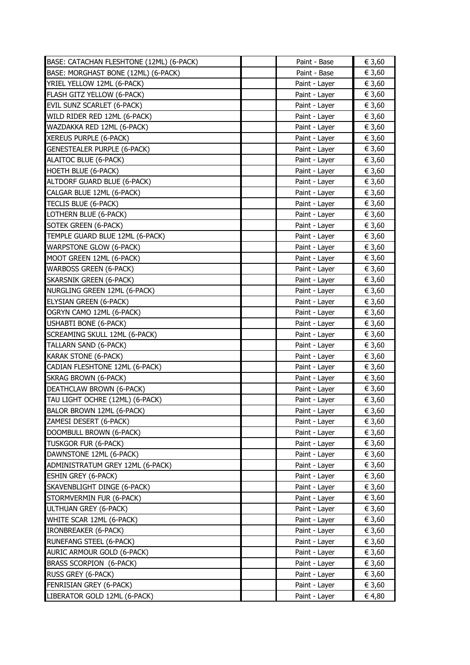| BASE: CATACHAN FLESHTONE (12ML) (6-PACK) | Paint - Base  | € 3,60 |
|------------------------------------------|---------------|--------|
| BASE: MORGHAST BONE (12ML) (6-PACK)      | Paint - Base  | € 3,60 |
| YRIEL YELLOW 12ML (6-PACK)               | Paint - Layer | € 3,60 |
| FLASH GITZ YELLOW (6-PACK)               | Paint - Layer | € 3,60 |
| EVIL SUNZ SCARLET (6-PACK)               | Paint - Layer | € 3,60 |
| WILD RIDER RED 12ML (6-PACK)             | Paint - Layer | € 3,60 |
| WAZDAKKA RED 12ML (6-PACK)               | Paint - Layer | € 3,60 |
| XEREUS PURPLE (6-PACK)                   | Paint - Layer | € 3,60 |
| <b>GENESTEALER PURPLE (6-PACK)</b>       | Paint - Layer | € 3,60 |
| ALAITOC BLUE (6-PACK)                    | Paint - Layer | € 3,60 |
| <b>HOETH BLUE (6-PACK)</b>               | Paint - Layer | € 3,60 |
| ALTDORF GUARD BLUE (6-PACK)              | Paint - Layer | € 3,60 |
| CALGAR BLUE 12ML (6-PACK)                | Paint - Layer | € 3,60 |
| TECLIS BLUE (6-PACK)                     | Paint - Layer | € 3,60 |
| LOTHERN BLUE (6-PACK)                    | Paint - Layer | € 3,60 |
| SOTEK GREEN (6-PACK)                     | Paint - Layer | € 3,60 |
| TEMPLE GUARD BLUE 12ML (6-PACK)          | Paint - Layer | € 3,60 |
| <b>WARPSTONE GLOW (6-PACK)</b>           | Paint - Layer | € 3,60 |
| MOOT GREEN 12ML (6-PACK)                 | Paint - Layer | € 3,60 |
| <b>WARBOSS GREEN (6-PACK)</b>            | Paint - Layer | € 3,60 |
| SKARSNIK GREEN (6-PACK)                  | Paint - Layer | € 3,60 |
| NURGLING GREEN 12ML (6-PACK)             | Paint - Layer | € 3,60 |
| ELYSIAN GREEN (6-PACK)                   | Paint - Layer | € 3,60 |
| OGRYN CAMO 12ML (6-PACK)                 | Paint - Layer | € 3,60 |
| <b>USHABTI BONE (6-PACK)</b>             | Paint - Layer | € 3,60 |
|                                          |               |        |
| SCREAMING SKULL 12ML (6-PACK)            | Paint - Layer | € 3,60 |
| TALLARN SAND (6-PACK)                    | Paint - Layer | € 3,60 |
| <b>KARAK STONE (6-PACK)</b>              | Paint - Layer | € 3,60 |
| CADIAN FLESHTONE 12ML (6-PACK)           | Paint - Layer | € 3,60 |
| <b>SKRAG BROWN (6-PACK)</b>              | Paint - Layer | € 3,60 |
| DEATHCLAW BROWN (6-PACK)                 | Paint - Layer | € 3,60 |
| TAU LIGHT OCHRE (12ML) (6-PACK)          | Paint - Layer | € 3,60 |
| BALOR BROWN 12ML (6-PACK)                | Paint - Layer | € 3,60 |
| ZAMESI DESERT (6-PACK)                   | Paint - Layer | € 3,60 |
| DOOMBULL BROWN (6-PACK)                  | Paint - Layer | € 3,60 |
| TUSKGOR FUR (6-PACK)                     | Paint - Layer | € 3,60 |
| DAWNSTONE 12ML (6-PACK)                  | Paint - Layer | € 3,60 |
| ADMINISTRATUM GREY 12ML (6-PACK)         | Paint - Layer | € 3,60 |
| <b>ESHIN GREY (6-PACK)</b>               | Paint - Layer | € 3,60 |
| SKAVENBLIGHT DINGE (6-PACK)              | Paint - Layer | € 3,60 |
| STORMVERMIN FUR (6-PACK)                 | Paint - Layer | € 3,60 |
| ULTHUAN GREY (6-PACK)                    | Paint - Layer | € 3,60 |
| WHITE SCAR 12ML (6-PACK)                 | Paint - Layer | € 3,60 |
| <b>IRONBREAKER (6-PACK)</b>              | Paint - Layer | € 3,60 |
| RUNEFANG STEEL (6-PACK)                  | Paint - Layer | € 3,60 |
| AURIC ARMOUR GOLD (6-PACK)               | Paint - Layer | € 3,60 |
| BRASS SCORPION (6-PACK)                  | Paint - Layer | € 3,60 |
| RUSS GREY (6-PACK)                       | Paint - Layer | € 3,60 |
| FENRISIAN GREY (6-PACK)                  | Paint - Layer | € 3,60 |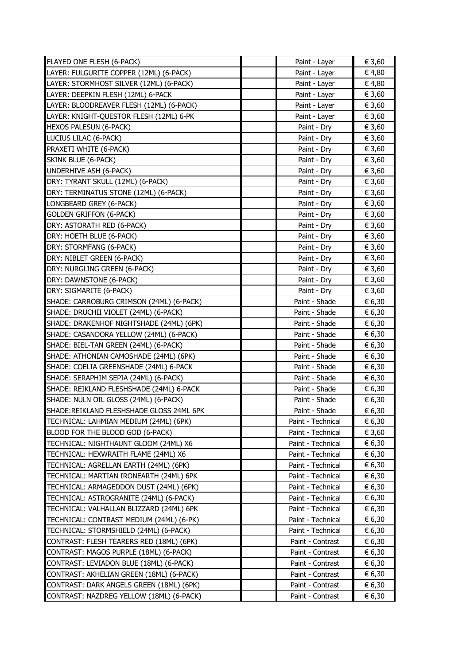| FLAYED ONE FLESH (6-PACK)                | Paint - Layer     | € 3,60 |
|------------------------------------------|-------------------|--------|
| LAYER: FULGURITE COPPER (12ML) (6-PACK)  | Paint - Layer     | € 4,80 |
| LAYER: STORMHOST SILVER (12ML) (6-PACK)  | Paint - Layer     | € 4,80 |
| LAYER: DEEPKIN FLESH (12ML) 6-PACK       | Paint - Layer     | € 3,60 |
| LAYER: BLOODREAVER FLESH (12ML) (6-PACK) | Paint - Layer     | € 3,60 |
| LAYER: KNIGHT-QUESTOR FLESH (12ML) 6-PK  | Paint - Layer     | € 3,60 |
| HEXOS PALESUN (6-PACK)                   | Paint - Dry       | € 3,60 |
| LUCIUS LILAC (6-PACK)                    | Paint - Dry       | € 3,60 |
| PRAXETI WHITE (6-PACK)                   | Paint - Dry       | € 3,60 |
| SKINK BLUE (6-PACK)                      | Paint - Dry       | € 3,60 |
| UNDERHIVE ASH (6-PACK)                   | Paint - Dry       | € 3,60 |
| DRY: TYRANT SKULL (12ML) (6-PACK)        | Paint - Dry       | € 3,60 |
| DRY: TERMINATUS STONE (12ML) (6-PACK)    | Paint - Dry       | € 3,60 |
| LONGBEARD GREY (6-PACK)                  | Paint - Dry       | € 3,60 |
| <b>GOLDEN GRIFFON (6-PACK)</b>           | Paint - Dry       | € 3,60 |
| DRY: ASTORATH RED (6-PACK)               | Paint - Dry       | € 3,60 |
| DRY: HOETH BLUE (6-PACK)                 | Paint - Dry       | € 3,60 |
| DRY: STORMFANG (6-PACK)                  | Paint - Dry       | € 3,60 |
| DRY: NIBLET GREEN (6-PACK)               | Paint - Dry       | € 3,60 |
| DRY: NURGLING GREEN (6-PACK)             | Paint - Dry       | € 3,60 |
| DRY: DAWNSTONE (6-PACK)                  | Paint - Dry       | € 3,60 |
| DRY: SIGMARITE (6-PACK)                  | Paint - Dry       | € 3,60 |
| SHADE: CARROBURG CRIMSON (24ML) (6-PACK) | Paint - Shade     | € 6,30 |
| SHADE: DRUCHII VIOLET (24ML) (6-PACK)    | Paint - Shade     | € 6,30 |
| SHADE: DRAKENHOF NIGHTSHADE (24ML) (6PK) | Paint - Shade     | € 6,30 |
| SHADE: CASANDORA YELLOW (24ML) (6-PACK)  | Paint - Shade     | € 6,30 |
| SHADE: BIEL-TAN GREEN (24ML) (6-PACK)    | Paint - Shade     | € 6,30 |
| SHADE: ATHONIAN CAMOSHADE (24ML) (6PK)   | Paint - Shade     | € 6,30 |
| SHADE: COELIA GREENSHADE (24ML) 6-PACK   | Paint - Shade     | € 6,30 |
| SHADE: SERAPHIM SEPIA (24ML) (6-PACK)    | Paint - Shade     | € 6,30 |
| SHADE: REIKLAND FLESHSHADE (24ML) 6-PACK | Paint - Shade     | € 6,30 |
| SHADE: NULN OIL GLOSS (24ML) (6-PACK)    | Paint - Shade     | € 6,30 |
| SHADE:REIKLAND FLESHSHADE GLOSS 24ML 6PK | Paint - Shade     | € 6,30 |
| TECHNICAL: LAHMIAN MEDIUM (24ML) (6PK)   | Paint - Technical | € 6,30 |
| BLOOD FOR THE BLOOD GOD (6-PACK)         | Paint - Technical | € 3,60 |
| TECHNICAL: NIGHTHAUNT GLOOM (24ML) X6    | Paint - Technical | € 6,30 |
| TECHNICAL: HEXWRAITH FLAME (24ML) X6     | Paint - Technical | € 6,30 |
| TECHNICAL: AGRELLAN EARTH (24ML) (6PK)   | Paint - Technical | € 6,30 |
| TECHNICAL: MARTIAN IRONEARTH (24ML) 6PK  | Paint - Technical | € 6,30 |
| TECHNICAL: ARMAGEDDON DUST (24ML) (6PK)  | Paint - Technical | € 6,30 |
| TECHNICAL: ASTROGRANITE (24ML) (6-PACK)  | Paint - Technical | € 6,30 |
| TECHNICAL: VALHALLAN BLIZZARD (24ML) 6PK | Paint - Technical | € 6,30 |
| TECHNICAL: CONTRAST MEDIUM (24ML) (6-PK) | Paint - Technical | € 6,30 |
| (6-PACK) TECHNICAL: STORMSHIELD (24ML)   | Paint - Technical | € 6,30 |
| CONTRAST: FLESH TEARERS RED (18ML) (6PK) | Paint - Contrast  | € 6,30 |
| CONTRAST: MAGOS PURPLE (18ML) (6-PACK)   | Paint - Contrast  | € 6,30 |
| CONTRAST: LEVIADON BLUE (18ML) (6-PACK)  | Paint - Contrast  | € 6,30 |
| CONTRAST: AKHELIAN GREEN (18ML) (6-PACK) | Paint - Contrast  | € 6,30 |
| CONTRAST: DARK ANGELS GREEN (18ML) (6PK) | Paint - Contrast  | € 6,30 |
| CONTRAST: NAZDREG YELLOW (18ML) (6-PACK) | Paint - Contrast  | € 6,30 |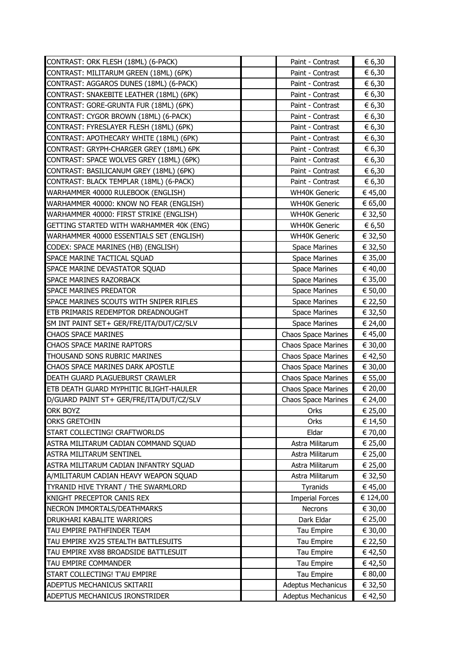|                                                                               | Paint - Contrast                                       | € 6,30             |
|-------------------------------------------------------------------------------|--------------------------------------------------------|--------------------|
| CONTRAST: ORK FLESH (18ML) (6-PACK)<br>CONTRAST: MILITARUM GREEN (18ML) (6PK) | Paint - Contrast                                       | € 6,30             |
| CONTRAST: AGGAROS DUNES (18ML) (6-PACK)                                       | Paint - Contrast                                       | € 6,30             |
| CONTRAST: SNAKEBITE LEATHER (18ML) (6PK)                                      | Paint - Contrast                                       | € 6,30             |
| CONTRAST: GORE-GRUNTA FUR (18ML) (6PK)                                        | Paint - Contrast                                       | € 6,30             |
| CONTRAST: CYGOR BROWN (18ML) (6-PACK)                                         | Paint - Contrast                                       | € 6,30             |
| CONTRAST: FYRESLAYER FLESH (18ML) (6PK)                                       | Paint - Contrast                                       | € 6,30             |
| CONTRAST: APOTHECARY WHITE (18ML) (6PK)                                       | Paint - Contrast                                       | € 6,30             |
| CONTRAST: GRYPH-CHARGER GREY (18ML) 6PK                                       | Paint - Contrast                                       | € 6,30             |
| CONTRAST: SPACE WOLVES GREY (18ML) (6PK)                                      | Paint - Contrast                                       | € 6,30             |
| CONTRAST: BASILICANUM GREY (18ML) (6PK)                                       | Paint - Contrast                                       | € 6,30             |
| CONTRAST: BLACK TEMPLAR (18ML) (6-PACK)                                       | Paint - Contrast                                       | € 6,30             |
| WARHAMMER 40000 RULEBOOK (ENGLISH)                                            | <b>WH40K Generic</b>                                   | € 45,00            |
| WARHAMMER 40000: KNOW NO FEAR (ENGLISH)                                       | <b>WH40K Generic</b>                                   | € 65,00            |
| WARHAMMER 40000: FIRST STRIKE (ENGLISH)                                       | <b>WH40K Generic</b>                                   | € 32,50            |
| GETTING STARTED WITH WARHAMMER 40K (ENG)                                      | <b>WH40K Generic</b>                                   | € 6,50             |
| WARHAMMER 40000 ESSENTIALS SET (ENGLISH)                                      | <b>WH40K Generic</b>                                   | € 32,50            |
| CODEX: SPACE MARINES (HB) (ENGLISH)                                           | <b>Space Marines</b>                                   | € 32,50            |
| SPACE MARINE TACTICAL SQUAD                                                   | Space Marines                                          | € 35,00            |
| SPACE MARINE DEVASTATOR SQUAD                                                 | <b>Space Marines</b>                                   | € 40,00            |
| SPACE MARINES RAZORBACK                                                       | <b>Space Marines</b>                                   | € 35,00            |
| <b>SPACE MARINES PREDATOR</b>                                                 | <b>Space Marines</b>                                   | € 50,00            |
| SPACE MARINES SCOUTS WITH SNIPER RIFLES                                       | <b>Space Marines</b>                                   | € 22,50            |
| ETB PRIMARIS REDEMPTOR DREADNOUGHT                                            | <b>Space Marines</b>                                   | € 32,50            |
| SM INT PAINT SET+ GER/FRE/ITA/DUT/CZ/SLV                                      | <b>Space Marines</b>                                   | € 24,00            |
| <b>CHAOS SPACE MARINES</b>                                                    | <b>Chaos Space Marines</b>                             | € 45,00            |
| CHAOS SPACE MARINE RAPTORS                                                    | <b>Chaos Space Marines</b>                             | € 30,00            |
| THOUSAND SONS RUBRIC MARINES                                                  | <b>Chaos Space Marines</b>                             | € 42,50            |
| CHAOS SPACE MARINES DARK APOSTLE                                              | <b>Chaos Space Marines</b>                             | € 30,00            |
|                                                                               |                                                        |                    |
| DEATH GUARD PLAGUEBURST CRAWLER                                               | <b>Chaos Space Marines</b>                             | € 55,00            |
| ETB DEATH GUARD MYPHITIC BLIGHT-HAULER                                        | <b>Chaos Space Marines</b>                             | € 20,00            |
| D/GUARD PAINT ST+ GER/FRE/ITA/DUT/CZ/SLV                                      | <b>Chaos Space Marines</b>                             | € 24,00            |
| <b>ORK BOYZ</b>                                                               | Orks                                                   | € 25,00            |
| ORKS GRETCHIN                                                                 | Orks                                                   | € 14,50            |
| START COLLECTING! CRAFTWORLDS                                                 | Eldar                                                  | € 70,00            |
| ASTRA MILITARUM CADIAN COMMAND SQUAD                                          | Astra Militarum                                        | € 25,00            |
| <b>ASTRA MILITARUM SENTINEL</b>                                               | Astra Militarum                                        | € 25,00            |
| ASTRA MILITARUM CADIAN INFANTRY SQUAD                                         | Astra Militarum                                        | € 25,00            |
| A/MILITARUM CADIAN HEAVY WEAPON SQUAD                                         | Astra Militarum                                        | € 32,50            |
| TYRANID HIVE TYRANT / THE SWARMLORD                                           | Tyranids                                               | € 45,00            |
| KNIGHT PRECEPTOR CANIS REX                                                    | <b>Imperial Forces</b>                                 | € 124,00           |
| NECRON IMMORTALS/DEATHMARKS                                                   | Necrons                                                | € 30,00            |
| DRUKHARI KABALITE WARRIORS                                                    | Dark Eldar                                             | € 25,00            |
| TAU EMPIRE PATHFINDER TEAM                                                    | Tau Empire                                             | € 30,00            |
| TAU EMPIRE XV25 STEALTH BATTLESUITS                                           | Tau Empire                                             | € 22,50            |
| TAU EMPIRE XV88 BROADSIDE BATTLESUIT                                          | Tau Empire                                             | € 42,50            |
| TAU EMPIRE COMMANDER                                                          | Tau Empire                                             | € 42,50            |
| START COLLECTING! T'AU EMPIRE                                                 | Tau Empire                                             | € 80,00            |
| ADEPTUS MECHANICUS SKITARII<br>ADEPTUS MECHANICUS IRONSTRIDER                 | <b>Adeptus Mechanicus</b><br><b>Adeptus Mechanicus</b> | € 32,50<br>€ 42,50 |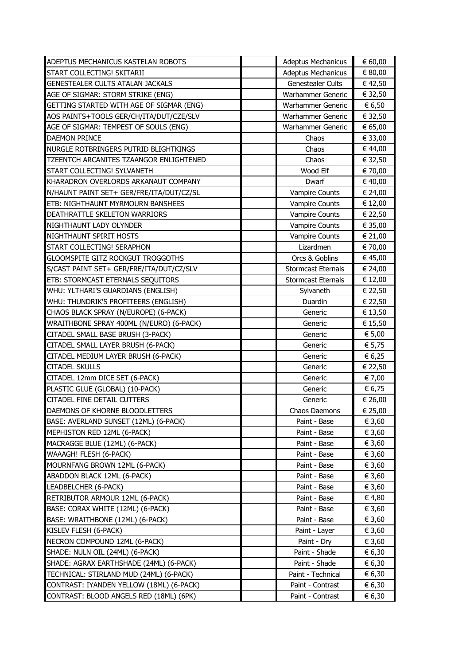| ADEPTUS MECHANICUS KASTELAN ROBOTS       | <b>Adeptus Mechanicus</b> | € 60,00 |
|------------------------------------------|---------------------------|---------|
| START COLLECTING! SKITARII               | <b>Adeptus Mechanicus</b> | € 80,00 |
| GENESTEALER CULTS ATALAN JACKALS         | Genestealer Cults         | € 42,50 |
| AGE OF SIGMAR: STORM STRIKE (ENG)        | Warhammer Generic         | € 32,50 |
| GETTING STARTED WITH AGE OF SIGMAR (ENG) | Warhammer Generic         | € 6,50  |
| AOS PAINTS+TOOLS GER/CH/ITA/DUT/CZE/SLV  | Warhammer Generic         | € 32,50 |
| AGE OF SIGMAR: TEMPEST OF SOULS (ENG)    | Warhammer Generic         | € 65,00 |
| <b>DAEMON PRINCE</b>                     | Chaos                     | € 33,00 |
| NURGLE ROTBRINGERS PUTRID BLIGHTKINGS    | Chaos                     | € 44,00 |
| TZEENTCH ARCANITES TZAANGOR ENLIGHTENED  | Chaos                     | € 32,50 |
| START COLLECTING! SYLVANETH              | Wood Elf                  | € 70,00 |
| KHARADRON OVERLORDS ARKANAUT COMPANY     | Dwarf                     | € 40,00 |
| N/HAUNT PAINT SET+ GER/FRE/ITA/DUT/CZ/SL | <b>Vampire Counts</b>     | € 24,00 |
| ETB: NIGHTHAUNT MYRMOURN BANSHEES        | <b>Vampire Counts</b>     | € 12,00 |
| DEATHRATTLE SKELETON WARRIORS            | <b>Vampire Counts</b>     | € 22,50 |
| NIGHTHAUNT LADY OLYNDER                  | <b>Vampire Counts</b>     | € 35,00 |
| NIGHTHAUNT SPIRIT HOSTS                  | <b>Vampire Counts</b>     | € 21,00 |
| START COLLECTING! SERAPHON               | Lizardmen                 | € 70,00 |
| GLOOMSPITE GITZ ROCKGUT TROGGOTHS        | Orcs & Goblins            | € 45,00 |
| S/CAST PAINT SET+ GER/FRE/ITA/DUT/CZ/SLV | <b>Stormcast Eternals</b> | € 24,00 |
| ETB: STORMCAST ETERNALS SEQUITORS        | <b>Stormcast Eternals</b> | € 12,00 |
| WHU: YLTHARI'S GUARDIANS (ENGLISH)       | Sylvaneth                 | € 22,50 |
| WHU: THUNDRIK'S PROFITEERS (ENGLISH)     | Duardin                   | € 22,50 |
| CHAOS BLACK SPRAY (N/EUROPE) (6-PACK)    | Generic                   | € 13,50 |
| WRAITHBONE SPRAY 400ML (N/EURO) (6-PACK) | Generic                   | € 15,50 |
| CITADEL SMALL BASE BRUSH (3-PACK)        | Generic                   | € 5,00  |
| CITADEL SMALL LAYER BRUSH (6-PACK)       | Generic                   | € 5,75  |
| CITADEL MEDIUM LAYER BRUSH (6-PACK)      | Generic                   | € 6,25  |
| <b>CITADEL SKULLS</b>                    | Generic                   | € 22,50 |
| CITADEL 12mm DICE SET (6-PACK)           | Generic                   | € 7,00  |
| PLASTIC GLUE (GLOBAL) (10-PACK)          | Generic                   | € 6,75  |
| <b>CITADEL FINE DETAIL CUTTERS</b>       | Generic                   | € 26,00 |
| DAEMONS OF KHORNE BLOODLETTERS           | Chaos Daemons             | € 25,00 |
| BASE: AVERLAND SUNSET (12ML) (6-PACK)    | Paint - Base              | € 3,60  |
| MEPHISTON RED 12ML (6-PACK)              | Paint - Base              | € 3,60  |
| MACRAGGE BLUE (12ML) (6-PACK)            | Paint - Base              | € 3,60  |
| WAAAGH! FLESH (6-PACK)                   | Paint - Base              | € 3,60  |
| MOURNFANG BROWN 12ML (6-PACK)            | Paint - Base              | € 3,60  |
| ABADDON BLACK 12ML (6-PACK)              | Paint - Base              | € 3,60  |
| LEADBELCHER (6-PACK)                     | Paint - Base              | € 3,60  |
| RETRIBUTOR ARMOUR 12ML (6-PACK)          | Paint - Base              | € 4,80  |
| BASE: CORAX WHITE (12ML) (6-PACK)        | Paint - Base              | € 3,60  |
| BASE: WRAITHBONE (12ML) (6-PACK)         | Paint - Base              | € 3,60  |
| KISLEV FLESH (6-PACK)                    | Paint - Layer             | € 3,60  |
| NECRON COMPOUND 12ML (6-PACK)            | Paint - Dry               | € 3,60  |
| SHADE: NULN OIL (24ML) (6-PACK)          | Paint - Shade             | € 6,30  |
| SHADE: AGRAX EARTHSHADE (24ML) (6-PACK)  | Paint - Shade             | € 6,30  |
| TECHNICAL: STIRLAND MUD (24ML) (6-PACK)  | Paint - Technical         | € 6,30  |
| CONTRAST: IYANDEN YELLOW (18ML) (6-PACK) | Paint - Contrast          | € 6,30  |
| CONTRAST: BLOOD ANGELS RED (18ML) (6PK)  | Paint - Contrast          | € 6,30  |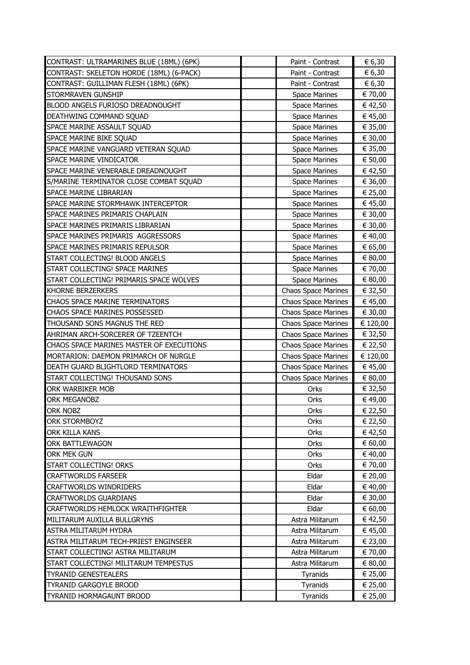| CONTRAST: ULTRAMARINES BLUE (18ML) (6PK) | Paint - Contrast           | € 6,30   |
|------------------------------------------|----------------------------|----------|
| CONTRAST: SKELETON HORDE (18ML) (6-PACK) | Paint - Contrast           | € 6,30   |
| CONTRAST: GUILLIMAN FLESH (18ML) (6PK)   | Paint - Contrast           | € 6,30   |
| STORMRAVEN GUNSHIP                       | <b>Space Marines</b>       | € 70,00  |
| BLOOD ANGELS FURIOSO DREADNOUGHT         | <b>Space Marines</b>       | € 42,50  |
| DEATHWING COMMAND SQUAD                  | <b>Space Marines</b>       | € 45,00  |
| SPACE MARINE ASSAULT SQUAD               | <b>Space Marines</b>       | € 35,00  |
| SPACE MARINE BIKE SQUAD                  | <b>Space Marines</b>       | € 30,00  |
| SPACE MARINE VANGUARD VETERAN SQUAD      | <b>Space Marines</b>       | € 35,00  |
| SPACE MARINE VINDICATOR                  | <b>Space Marines</b>       | € 50,00  |
| SPACE MARINE VENERABLE DREADNOUGHT       | <b>Space Marines</b>       | € 42,50  |
| S/MARINE TERMINATOR CLOSE COMBAT SQUAD   | <b>Space Marines</b>       | € 36,00  |
| <b>SPACE MARINE LIBRARIAN</b>            | <b>Space Marines</b>       | € 25,00  |
| SPACE MARINE STORMHAWK INTERCEPTOR       | <b>Space Marines</b>       | € 45,00  |
| SPACE MARINES PRIMARIS CHAPLAIN          | <b>Space Marines</b>       | € 30,00  |
| SPACE MARINES PRIMARIS LIBRARIAN         | <b>Space Marines</b>       | € 30,00  |
| SPACE MARINES PRIMARIS AGGRESSORS        | <b>Space Marines</b>       | € 40,00  |
| SPACE MARINES PRIMARIS REPULSOR          | <b>Space Marines</b>       | € 65,00  |
| START COLLECTING! BLOOD ANGELS           | <b>Space Marines</b>       | € 80,00  |
| START COLLECTING! SPACE MARINES          | <b>Space Marines</b>       | € 70,00  |
| START COLLECTING! PRIMARIS SPACE WOLVES  | <b>Space Marines</b>       | € 80,00  |
| <b>KHORNE BERZERKERS</b>                 | <b>Chaos Space Marines</b> | € 32,50  |
| <b>CHAOS SPACE MARINE TERMINATORS</b>    | <b>Chaos Space Marines</b> | € 45,00  |
| CHAOS SPACE MARINES POSSESSED            | <b>Chaos Space Marines</b> | € 30,00  |
| THOUSAND SONS MAGNUS THE RED             | <b>Chaos Space Marines</b> | € 120,00 |
| AHRIMAN ARCH-SORCERER OF TZEENTCH        | <b>Chaos Space Marines</b> | € 32,50  |
| CHAOS SPACE MARINES MASTER OF EXECUTIONS | <b>Chaos Space Marines</b> | € 22,50  |
| MORTARION: DAEMON PRIMARCH OF NURGLE     | <b>Chaos Space Marines</b> | € 120,00 |
| DEATH GUARD BLIGHTLORD TERMINATORS       | <b>Chaos Space Marines</b> | € 45,00  |
| START COLLECTING! THOUSAND SONS          | <b>Chaos Space Marines</b> | € 80,00  |
| ORK WARBIKER MOB                         | Orks                       | € 32,50  |
| <b>ORK MEGANOBZ</b>                      | Orks                       | € 49,00  |
| <b>ORK NOBZ</b>                          | Orks                       | € 22,50  |
| ORK STORMBOYZ                            | Orks                       | € 22,50  |
| <b>ORK KILLA KANS</b>                    | Orks                       | € 42,50  |
| <b>ORK BATTLEWAGON</b>                   | Orks                       | € 60,00  |
| ORK MEK GUN                              | Orks                       | € 40,00  |
| START COLLECTING! ORKS                   | Orks                       | € 70,00  |
| <b>CRAFTWORLDS FARSEER</b>               | Eldar                      | € 20,00  |
| <b>CRAFTWORLDS WINDRIDERS</b>            | Eldar                      | € 40,00  |
| <b>CRAFTWORLDS GUARDIANS</b>             | Eldar                      | € 30,00  |
| <b>CRAFTWORLDS HEMLOCK WRAITHFIGHTER</b> | Eldar                      | € 60,00  |
| MILITARUM AUXILLA BULLGRYNS              | Astra Militarum            | € 42,50  |
| ASTRA MILITARUM HYDRA                    | Astra Militarum            | € 45,00  |
| ASTRA MILITARUM TECH-PRIEST ENGINSEER    | Astra Militarum            | € 23,00  |
| START COLLECTING! ASTRA MILITARUM        | Astra Militarum            | € 70,00  |
| START COLLECTING! MILITARUM TEMPESTUS    | Astra Militarum            | € 80,00  |
| <b>TYRANID GENESTEALERS</b>              | Tyranids                   | € 25,00  |
| <b>TYRANID GARGOYLE BROOD</b>            | Tyranids                   | € 25,00  |
| TYRANID HORMAGAUNT BROOD                 | Tyranids                   | € 25,00  |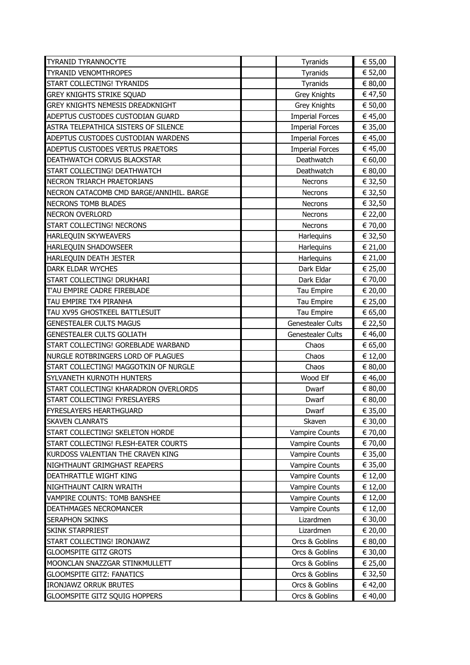| <b>TYRANID TYRANNOCYTE</b>               | Tyranids                 | € 55,00 |
|------------------------------------------|--------------------------|---------|
| <b>TYRANID VENOMTHROPES</b>              | Tyranids                 | € 52,00 |
| START COLLECTING! TYRANIDS               | Tyranids                 | € 80,00 |
| <b>GREY KNIGHTS STRIKE SQUAD</b>         | Grey Knights             | € 47,50 |
| <b>GREY KNIGHTS NEMESIS DREADKNIGHT</b>  | Grey Knights             | € 50,00 |
| ADEPTUS CUSTODES CUSTODIAN GUARD         | <b>Imperial Forces</b>   | € 45,00 |
| ASTRA TELEPATHICA SISTERS OF SILENCE     | <b>Imperial Forces</b>   | € 35,00 |
| ADEPTUS CUSTODES CUSTODIAN WARDENS       | <b>Imperial Forces</b>   | € 45,00 |
| ADEPTUS CUSTODES VERTUS PRAETORS         | <b>Imperial Forces</b>   | € 45,00 |
| DEATHWATCH CORVUS BLACKSTAR              | Deathwatch               | € 60,00 |
| START COLLECTING! DEATHWATCH             | Deathwatch               | € 80,00 |
| <b>NECRON TRIARCH PRAETORIANS</b>        | Necrons                  | € 32,50 |
| NECRON CATACOMB CMD BARGE/ANNIHIL. BARGE | <b>Necrons</b>           | € 32,50 |
| <b>NECRONS TOMB BLADES</b>               | <b>Necrons</b>           | € 32,50 |
| <b>NECRON OVERLORD</b>                   | <b>Necrons</b>           | € 22,00 |
| START COLLECTING! NECRONS                | Necrons                  | € 70,00 |
| <b>HARLEQUIN SKYWEAVERS</b>              | Harlequins               | € 32,50 |
| HARLEQUIN SHADOWSEER                     | Harlequins               | € 21,00 |
| HARLEQUIN DEATH JESTER                   | Harlequins               | € 21,00 |
| <b>DARK ELDAR WYCHES</b>                 | Dark Eldar               | € 25,00 |
| START COLLECTING! DRUKHARI               | Dark Eldar               | € 70,00 |
| T'AU EMPIRE CADRE FIREBLADE              | Tau Empire               | € 20,00 |
| TAU EMPIRE TX4 PIRANHA                   | Tau Empire               | € 25,00 |
| TAU XV95 GHOSTKEEL BATTLESUIT            | Tau Empire               | € 65,00 |
| <b>GENESTEALER CULTS MAGUS</b>           | Genestealer Cults        | € 22,50 |
| <b>GENESTEALER CULTS GOLIATH</b>         | <b>Genestealer Cults</b> | € 46,00 |
| START COLLECTING! GOREBLADE WARBAND      | Chaos                    | € 65,00 |
| NURGLE ROTBRINGERS LORD OF PLAGUES       | Chaos                    | € 12,00 |
| START COLLECTING! MAGGOTKIN OF NURGLE    | Chaos                    | € 80,00 |
| SYLVANETH KURNOTH HUNTERS                | Wood Elf                 | € 46,00 |
| START COLLECTING! KHARADRON OVERLORDS    | Dwarf                    | € 80,00 |
| START COLLECTING! FYRESLAYERS            | Dwarf                    | € 80,00 |
| <b>FYRESLAYERS HEARTHGUARD</b>           | Dwarf                    | € 35,00 |
| <b>SKAVEN CLANRATS</b>                   | Skaven                   | € 30,00 |
| START COLLECTING! SKELETON HORDE         | <b>Vampire Counts</b>    | € 70,00 |
| START COLLECTING! FLESH-EATER COURTS     | <b>Vampire Counts</b>    | € 70,00 |
| KURDOSS VALENTIAN THE CRAVEN KING        | <b>Vampire Counts</b>    | € 35,00 |
| NIGHTHAUNT GRIMGHAST REAPERS             | <b>Vampire Counts</b>    | € 35,00 |
| DEATHRATTLE WIGHT KING                   | <b>Vampire Counts</b>    | € 12,00 |
| NIGHTHAUNT CAIRN WRAITH                  | <b>Vampire Counts</b>    | € 12,00 |
| VAMPIRE COUNTS: TOMB BANSHEE             | <b>Vampire Counts</b>    | € 12,00 |
| DEATHMAGES NECROMANCER                   | Vampire Counts           | € 12,00 |
| <b>SERAPHON SKINKS</b>                   | Lizardmen                | € 30,00 |
| <b>SKINK STARPRIEST</b>                  | Lizardmen                | € 20,00 |
| START COLLECTING! IRONJAWZ               | Orcs & Goblins           | € 80,00 |
| <b>GLOOMSPITE GITZ GROTS</b>             | Orcs & Goblins           | € 30,00 |
| MOONCLAN SNAZZGAR STINKMULLETT           | Orcs & Goblins           | € 25,00 |
| <b>GLOOMSPITE GITZ: FANATICS</b>         | Orcs & Goblins           | € 32,50 |
| <b>IRONJAWZ ORRUK BRUTES</b>             | Orcs & Goblins           | € 42,00 |
| <b>GLOOMSPITE GITZ SQUIG HOPPERS</b>     | Orcs & Goblins           | € 40,00 |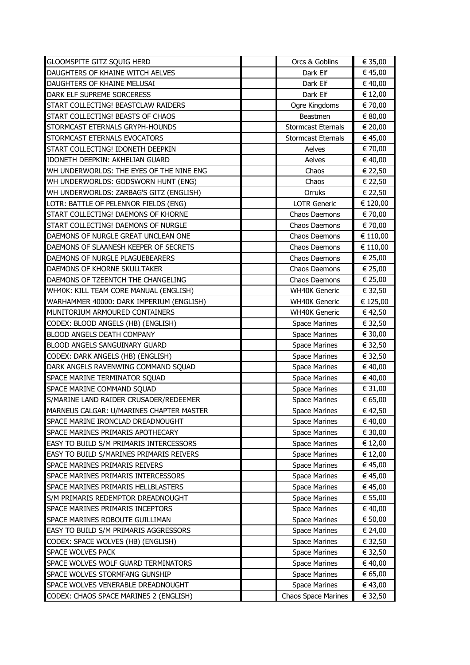| <b>GLOOMSPITE GITZ SQUIG HERD</b>        | Orcs & Goblins             | € 35,00  |
|------------------------------------------|----------------------------|----------|
| DAUGHTERS OF KHAINE WITCH AELVES         | Dark Elf                   | € 45,00  |
| DAUGHTERS OF KHAINE MELUSAI              | Dark Elf                   | € 40,00  |
| DARK ELF SUPREME SORCERESS               | Dark Elf                   | € 12,00  |
| START COLLECTING! BEASTCLAW RAIDERS      | Ogre Kingdoms              | € 70,00  |
| START COLLECTING! BEASTS OF CHAOS        | Beastmen                   | € 80,00  |
| STORMCAST ETERNALS GRYPH-HOUNDS          | <b>Stormcast Eternals</b>  | € 20,00  |
| STORMCAST ETERNALS EVOCATORS             | <b>Stormcast Eternals</b>  | € 45,00  |
| START COLLECTING! IDONETH DEEPKIN        | Aelves                     | € 70,00  |
| IDONETH DEEPKIN: AKHELIAN GUARD          | Aelves                     | € 40,00  |
| WH UNDERWORLDS: THE EYES OF THE NINE ENG | Chaos                      | € 22,50  |
| WH UNDERWORLDS: GODSWORN HUNT (ENG)      | Chaos                      | € 22,50  |
| WH UNDERWORLDS: ZARBAG'S GITZ (ENGLISH)  | Orruks                     | € 22,50  |
| LOTR: BATTLE OF PELENNOR FIELDS (ENG)    | <b>LOTR Generic</b>        | € 120,00 |
| START COLLECTING! DAEMONS OF KHORNE      | Chaos Daemons              | € 70,00  |
| START COLLECTING! DAEMONS OF NURGLE      | Chaos Daemons              | € 70,00  |
| DAEMONS OF NURGLE GREAT UNCLEAN ONE      | Chaos Daemons              | € 110,00 |
| DAEMONS OF SLAANESH KEEPER OF SECRETS    | Chaos Daemons              | € 110,00 |
| DAEMONS OF NURGLE PLAGUEBEARERS          | Chaos Daemons              | € 25,00  |
| DAEMONS OF KHORNE SKULLTAKER             | Chaos Daemons              | € 25,00  |
| DAEMONS OF TZEENTCH THE CHANGELING       | Chaos Daemons              | € 25,00  |
| WH40K: KILL TEAM CORE MANUAL (ENGLISH)   | <b>WH40K Generic</b>       | € 32,50  |
| WARHAMMER 40000: DARK IMPERIUM (ENGLISH) | <b>WH40K Generic</b>       | € 125,00 |
| MUNITORIUM ARMOURED CONTAINERS           | <b>WH40K Generic</b>       | € 42,50  |
| CODEX: BLOOD ANGELS (HB) (ENGLISH)       | <b>Space Marines</b>       | € 32,50  |
| BLOOD ANGELS DEATH COMPANY               | <b>Space Marines</b>       | € 30,00  |
| BLOOD ANGELS SANGUINARY GUARD            | <b>Space Marines</b>       | € 32,50  |
| CODEX: DARK ANGELS (HB) (ENGLISH)        | <b>Space Marines</b>       | € 32,50  |
| DARK ANGELS RAVENWING COMMAND SQUAD      | <b>Space Marines</b>       | € 40,00  |
| SPACE MARINE TERMINATOR SQUAD            | <b>Space Marines</b>       | € 40,00  |
| SPACE MARINE COMMAND SQUAD               | <b>Space Marines</b>       | € 31,00  |
| S/MARINE LAND RAIDER CRUSADER/REDEEMER   | <b>Space Marines</b>       | € 65,00  |
| MARNEUS CALGAR: U/MARINES CHAPTER MASTER | <b>Space Marines</b>       | € 42,50  |
| SPACE MARINE IRONCLAD DREADNOUGHT        | <b>Space Marines</b>       | € 40,00  |
| SPACE MARINES PRIMARIS APOTHECARY        | <b>Space Marines</b>       | € 30,00  |
| EASY TO BUILD S/M PRIMARIS INTERCESSORS  | <b>Space Marines</b>       | € 12,00  |
| EASY TO BUILD S/MARINES PRIMARIS REIVERS | <b>Space Marines</b>       | € 12,00  |
| <b>SPACE MARINES PRIMARIS REIVERS</b>    | <b>Space Marines</b>       | € 45,00  |
| SPACE MARINES PRIMARIS INTERCESSORS      | <b>Space Marines</b>       | € 45,00  |
| SPACE MARINES PRIMARIS HELLBLASTERS      | <b>Space Marines</b>       | € 45,00  |
| S/M PRIMARIS REDEMPTOR DREADNOUGHT       | <b>Space Marines</b>       | € 55,00  |
| SPACE MARINES PRIMARIS INCEPTORS         | <b>Space Marines</b>       | € 40,00  |
| SPACE MARINES ROBOUTE GUILLIMAN          | <b>Space Marines</b>       | € 50,00  |
| EASY TO BUILD S/M PRIMARIS AGGRESSORS    | <b>Space Marines</b>       | € 24,00  |
| CODEX: SPACE WOLVES (HB) (ENGLISH)       | <b>Space Marines</b>       | € 32,50  |
| SPACE WOLVES PACK                        | <b>Space Marines</b>       | € 32,50  |
| SPACE WOLVES WOLF GUARD TERMINATORS      | <b>Space Marines</b>       | € 40,00  |
| SPACE WOLVES STORMFANG GUNSHIP           | <b>Space Marines</b>       | € 65,00  |
| SPACE WOLVES VENERABLE DREADNOUGHT       | <b>Space Marines</b>       | € 43,00  |
| CODEX: CHAOS SPACE MARINES 2 (ENGLISH)   | <b>Chaos Space Marines</b> | € 32,50  |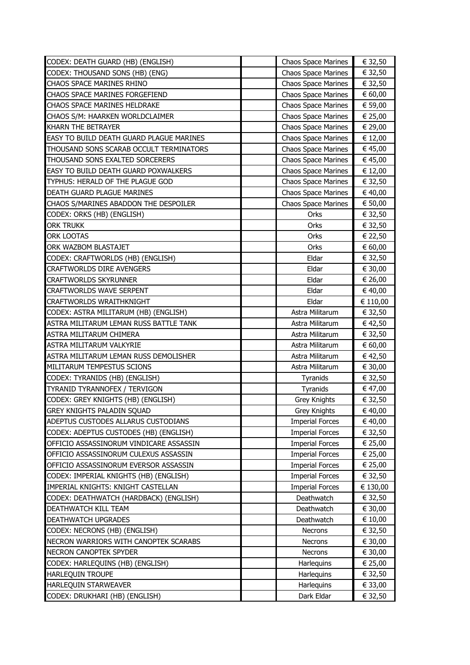| CODEX: DEATH GUARD (HB) (ENGLISH)               | <b>Chaos Space Marines</b> | € 32,50  |
|-------------------------------------------------|----------------------------|----------|
| CODEX: THOUSAND SONS (HB) (ENG)                 | <b>Chaos Space Marines</b> | € 32,50  |
| CHAOS SPACE MARINES RHINO                       | <b>Chaos Space Marines</b> | € 32,50  |
| CHAOS SPACE MARINES FORGEFIEND                  | <b>Chaos Space Marines</b> | € 60,00  |
| <b>CHAOS SPACE MARINES HELDRAKE</b>             | <b>Chaos Space Marines</b> | € 59,00  |
| CHAOS S/M: HAARKEN WORLDCLAIMER                 | <b>Chaos Space Marines</b> | € 25,00  |
| KHARN THE BETRAYER                              | <b>Chaos Space Marines</b> | € 29,00  |
| <b>EASY TO BUILD DEATH GUARD PLAGUE MARINES</b> | <b>Chaos Space Marines</b> | € 12,00  |
| THOUSAND SONS SCARAB OCCULT TERMINATORS         | <b>Chaos Space Marines</b> | € 45,00  |
| THOUSAND SONS EXALTED SORCERERS                 | <b>Chaos Space Marines</b> | € 45,00  |
| <b>EASY TO BUILD DEATH GUARD POXWALKERS</b>     | <b>Chaos Space Marines</b> | € 12,00  |
| TYPHUS: HERALD OF THE PLAGUE GOD                | <b>Chaos Space Marines</b> | € 32,50  |
| DEATH GUARD PLAGUE MARINES                      | <b>Chaos Space Marines</b> | € 40,00  |
| CHAOS S/MARINES ABADDON THE DESPOILER           | <b>Chaos Space Marines</b> | € 50,00  |
| CODEX: ORKS (HB) (ENGLISH)                      | Orks                       | € 32,50  |
| ORK TRUKK                                       | Orks                       | € 32,50  |
| <b>ORK LOOTAS</b>                               | Orks                       | € 22,50  |
| ORK WAZBOM BLASTAJET                            | Orks                       | € 60,00  |
| CODEX: CRAFTWORLDS (HB) (ENGLISH)               | Eldar                      | € 32,50  |
| <b>CRAFTWORLDS DIRE AVENGERS</b>                | Eldar                      | € 30,00  |
| <b>CRAFTWORLDS SKYRUNNER</b>                    | Eldar                      | € 26,00  |
| <b>CRAFTWORLDS WAVE SERPENT</b>                 | Eldar                      | € 40,00  |
| <b>CRAFTWORLDS WRAITHKNIGHT</b>                 | Eldar                      | € 110,00 |
| CODEX: ASTRA MILITARUM (HB) (ENGLISH)           | Astra Militarum            | € 32,50  |
| ASTRA MILITARUM LEMAN RUSS BATTLE TANK          | Astra Militarum            | € 42,50  |
| ASTRA MILITARUM CHIMERA                         | Astra Militarum            | € 32,50  |
| ASTRA MILITARUM VALKYRIE                        | Astra Militarum            | € 60,00  |
| ASTRA MILITARUM LEMAN RUSS DEMOLISHER           | Astra Militarum            | € 42,50  |
| MILITARUM TEMPESTUS SCIONS                      | Astra Militarum            | € 30,00  |
| CODEX: TYRANIDS (HB) (ENGLISH)                  | Tyranids                   | € 32,50  |
| TYRANID TYRANNOFEX / TERVIGON                   | Tyranids                   | € 47,00  |
| CODEX: GREY KNIGHTS (HB) (ENGLISH)              | <b>Grey Knights</b>        | € 32,50  |
| GREY KNIGHTS PALADIN SQUAD                      | Grey Knights               | € 40,00  |
| ADEPTUS CUSTODES ALLARUS CUSTODIANS             | <b>Imperial Forces</b>     | € 40,00  |
| CODEX: ADEPTUS CUSTODES (HB) (ENGLISH)          | <b>Imperial Forces</b>     | € 32,50  |
| OFFICIO ASSASSINORUM VINDICARE ASSASSIN         | <b>Imperial Forces</b>     | € 25,00  |
| OFFICIO ASSASSINORUM CULEXUS ASSASSIN           | <b>Imperial Forces</b>     | € 25,00  |
| OFFICIO ASSASSINORUM EVERSOR ASSASSIN           | <b>Imperial Forces</b>     | € 25,00  |
| CODEX: IMPERIAL KNIGHTS (HB) (ENGLISH)          | <b>Imperial Forces</b>     | € 32,50  |
| IMPERIAL KNIGHTS: KNIGHT CASTELLAN              | <b>Imperial Forces</b>     | € 130,00 |
| CODEX: DEATHWATCH (HARDBACK) (ENGLISH)          | Deathwatch                 | € 32,50  |
| DEATHWATCH KILL TEAM                            | Deathwatch                 | € 30,00  |
| <b>DEATHWATCH UPGRADES</b>                      | Deathwatch                 | € 10,00  |
| CODEX: NECRONS (HB) (ENGLISH)                   | <b>Necrons</b>             | € 32,50  |
| NECRON WARRIORS WITH CANOPTEK SCARABS           | <b>Necrons</b>             | € 30,00  |
| NECRON CANOPTEK SPYDER                          | Necrons                    | € 30,00  |
| CODEX: HARLEQUINS (HB) (ENGLISH)                | Harlequins                 | € 25,00  |
| <b>HARLEQUIN TROUPE</b>                         | Harlequins                 | € 32,50  |
| <b>HARLEQUIN STARWEAVER</b>                     | Harlequins                 | € 33,00  |
| CODEX: DRUKHARI (HB) (ENGLISH)                  | Dark Eldar                 | € 32,50  |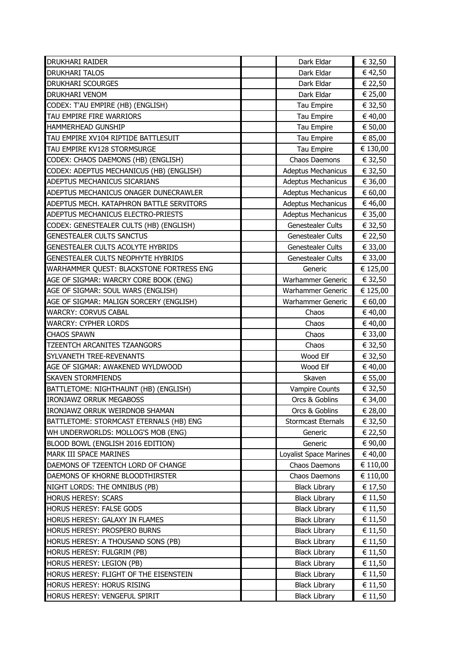| <b>DRUKHARI RAIDER</b>                                      | Dark Eldar                                   | € 32,50            |
|-------------------------------------------------------------|----------------------------------------------|--------------------|
| <b>DRUKHARI TALOS</b>                                       | Dark Eldar                                   | € 42,50            |
| <b>DRUKHARI SCOURGES</b>                                    | Dark Eldar                                   | € 22,50            |
| idrukhari venom                                             | Dark Eldar                                   | € 25,00            |
| CODEX: T'AU EMPIRE (HB) (ENGLISH)                           | Tau Empire                                   | € 32,50            |
| TAU EMPIRE FIRE WARRIORS                                    | Tau Empire                                   | € 40,00            |
| <b>HAMMERHEAD GUNSHIP</b>                                   | Tau Empire                                   | € 50,00            |
| TAU EMPIRE XV104 RIPTIDE BATTLESUIT                         | Tau Empire                                   | € 85,00            |
| TAU EMPIRE KV128 STORMSURGE                                 | Tau Empire                                   | € 130,00           |
| CODEX: CHAOS DAEMONS (HB) (ENGLISH)                         | Chaos Daemons                                | € 32,50            |
| CODEX: ADEPTUS MECHANICUS (HB) (ENGLISH)                    | <b>Adeptus Mechanicus</b>                    | € 32,50            |
| ADEPTUS MECHANICUS SICARIANS                                | <b>Adeptus Mechanicus</b>                    | € 36,00            |
| ADEPTUS MECHANICUS ONAGER DUNECRAWLER                       | <b>Adeptus Mechanicus</b>                    | € 60,00            |
| ADEPTUS MECH. KATAPHRON BATTLE SERVITORS                    | <b>Adeptus Mechanicus</b>                    | € 46,00            |
| ADEPTUS MECHANICUS ELECTRO-PRIESTS                          | <b>Adeptus Mechanicus</b>                    | € 35,00            |
| CODEX: GENESTEALER CULTS (HB) (ENGLISH)                     | Genestealer Cults                            | € 32,50            |
| <b>GENESTEALER CULTS SANCTUS</b>                            | <b>Genestealer Cults</b>                     | € 22,50            |
| GENESTEALER CULTS ACOLYTE HYBRIDS                           | Genestealer Cults                            | € 33,00            |
| GENESTEALER CULTS NEOPHYTE HYBRIDS                          | <b>Genestealer Cults</b>                     | € 33,00            |
| WARHAMMER QUEST: BLACKSTONE FORTRESS ENG                    | Generic                                      | € 125,00           |
| AGE OF SIGMAR: WARCRY CORE BOOK (ENG)                       | Warhammer Generic                            | € 32,50            |
| AGE OF SIGMAR: SOUL WARS (ENGLISH)                          | Warhammer Generic                            | € 125,00           |
| AGE OF SIGMAR: MALIGN SORCERY (ENGLISH)                     | Warhammer Generic                            | € 60,00            |
| <b>WARCRY: CORVUS CABAL</b>                                 | Chaos                                        | € 40,00            |
| <b>WARCRY: CYPHER LORDS</b>                                 | Chaos                                        | € 40,00            |
|                                                             |                                              |                    |
| <b>CHAOS SPAWN</b>                                          | Chaos                                        | € 33,00            |
| <b>TZEENTCH ARCANITES TZAANGORS</b>                         | Chaos                                        | € 32,50            |
| SYLVANETH TREE-REVENANTS                                    | Wood Elf                                     | € 32,50            |
| AGE OF SIGMAR: AWAKENED WYLDWOOD                            | Wood Elf                                     | € 40,00            |
| <b>SKAVEN STORMFIENDS</b>                                   | Skaven                                       | € 55,00            |
| BATTLETOME: NIGHTHAUNT (HB) (ENGLISH)                       | <b>Vampire Counts</b>                        | € 32,50            |
| <b>IRONJAWZ ORRUK MEGABOSS</b>                              | Orcs & Goblins                               | € 34,00            |
| IRONJAWZ ORRUK WEIRDNOB SHAMAN                              | Orcs & Goblins                               | € 28,00            |
| BATTLETOME: STORMCAST ETERNALS (HB) ENG                     | Stormcast Eternals                           | € 32,50            |
| WH UNDERWORLDS: MOLLOG'S MOB (ENG)                          | Generic                                      | € 22,50            |
| BLOOD BOWL (ENGLISH 2016 EDITION)                           | Generic                                      | € 90,00            |
| MARK III SPACE MARINES                                      | Loyalist Space Marines                       | € 40,00            |
| DAEMONS OF TZEENTCH LORD OF CHANGE                          | Chaos Daemons                                | € 110,00           |
| DAEMONS OF KHORNE BLOODTHIRSTER                             | Chaos Daemons                                | € 110,00           |
| NIGHT LORDS: THE OMNIBUS (PB)                               | <b>Black Library</b>                         | € 17,50            |
| <b>HORUS HERESY: SCARS</b>                                  | <b>Black Library</b>                         | € 11,50            |
| HORUS HERESY: FALSE GODS                                    | <b>Black Library</b>                         | € 11,50            |
| HORUS HERESY: GALAXY IN FLAMES                              | <b>Black Library</b>                         | € 11,50            |
| HORUS HERESY: PROSPERO BURNS                                | <b>Black Library</b>                         | € 11,50            |
| HORUS HERESY: A THOUSAND SONS (PB)                          | <b>Black Library</b>                         | € 11,50            |
| HORUS HERESY: FULGRIM (PB)                                  | <b>Black Library</b>                         | € 11,50            |
| <b>HORUS HERESY: LEGION (PB)</b>                            | <b>Black Library</b>                         | € 11,50            |
| HORUS HERESY: FLIGHT OF THE EISENSTEIN                      | <b>Black Library</b>                         | € 11,50            |
| HORUS HERESY: HORUS RISING<br>HORUS HERESY: VENGEFUL SPIRIT | <b>Black Library</b><br><b>Black Library</b> | € 11,50<br>€ 11,50 |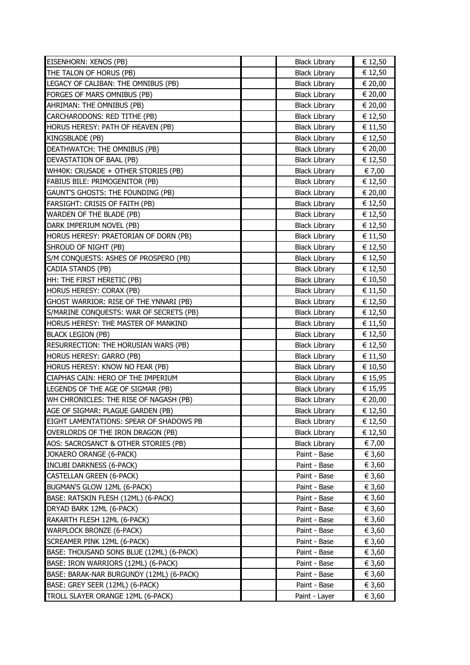| EISENHORN: XENOS (PB)                                                | <b>Black Library</b> | € 12,50 |
|----------------------------------------------------------------------|----------------------|---------|
| THE TALON OF HORUS (PB)                                              | <b>Black Library</b> | € 12,50 |
| LEGACY OF CALIBAN: THE OMNIBUS (PB)                                  | <b>Black Library</b> | € 20,00 |
| <b>FORGES OF MARS OMNIBUS (PB)</b>                                   | <b>Black Library</b> | € 20,00 |
| AHRIMAN: THE OMNIBUS (PB)                                            | <b>Black Library</b> | € 20,00 |
| CARCHARODONS: RED TITHE (PB)                                         | <b>Black Library</b> | € 12,50 |
| HORUS HERESY: PATH OF HEAVEN (PB)                                    | <b>Black Library</b> | € 11,50 |
| KINGSBLADE (PB)                                                      | <b>Black Library</b> | € 12,50 |
| DEATHWATCH: THE OMNIBUS (PB)                                         | <b>Black Library</b> | € 20,00 |
| DEVASTATION OF BAAL (PB)                                             | <b>Black Library</b> | € 12,50 |
| WH40K: CRUSADE + OTHER STORIES (PB)                                  | <b>Black Library</b> | € 7,00  |
| FABIUS BILE: PRIMOGENITOR (PB)                                       | <b>Black Library</b> | € 12,50 |
| GAUNT'S GHOSTS: THE FOUNDING (PB)                                    | <b>Black Library</b> | € 20,00 |
| FARSIGHT: CRISIS OF FAITH (PB)                                       | <b>Black Library</b> | € 12,50 |
| WARDEN OF THE BLADE (PB)                                             | <b>Black Library</b> | € 12,50 |
| DARK IMPERIUM NOVEL (PB)                                             | <b>Black Library</b> | € 12,50 |
| HORUS HERESY: PRAETORIAN OF DORN (PB)                                | <b>Black Library</b> | € 11,50 |
| SHROUD OF NIGHT (PB)                                                 | <b>Black Library</b> | € 12,50 |
| S/M CONQUESTS: ASHES OF PROSPERO (PB)                                | <b>Black Library</b> | € 12,50 |
| CADIA STANDS (PB)                                                    | <b>Black Library</b> | € 12,50 |
| HH: THE FIRST HERETIC (PB)                                           | <b>Black Library</b> | € 10,50 |
| HORUS HERESY: CORAX (PB)                                             | <b>Black Library</b> | € 11,50 |
| GHOST WARRIOR: RISE OF THE YNNARI (PB)                               | <b>Black Library</b> | € 12,50 |
| S/MARINE CONQUESTS: WAR OF SECRETS (PB)                              | <b>Black Library</b> | € 12,50 |
| HORUS HERESY: THE MASTER OF MANKIND                                  | <b>Black Library</b> | € 11,50 |
|                                                                      |                      |         |
| <b>BLACK LEGION (PB)</b>                                             | <b>Black Library</b> | € 12,50 |
| RESURRECTION: THE HORUSIAN WARS (PB)                                 | <b>Black Library</b> | € 12,50 |
| HORUS HERESY: GARRO (PB)                                             | <b>Black Library</b> | € 11,50 |
| HORUS HERESY: KNOW NO FEAR (PB)                                      | <b>Black Library</b> | € 10,50 |
| CIAPHAS CAIN: HERO OF THE IMPERIUM                                   | <b>Black Library</b> | € 15,95 |
| LEGENDS OF THE AGE OF SIGMAR (PB)                                    | <b>Black Library</b> | € 15,95 |
| WH CHRONICLES: THE RISE OF NAGASH (PB)                               | <b>Black Library</b> | € 20,00 |
| AGE OF SIGMAR: PLAGUE GARDEN (PB)                                    | <b>Black Library</b> | € 12,50 |
| EIGHT LAMENTATIONS: SPEAR OF SHADOWS PB                              | <b>Black Library</b> | € 12,50 |
| OVERLORDS OF THE IRON DRAGON (PB)                                    | <b>Black Library</b> | € 12,50 |
| AOS: SACROSANCT & OTHER STORIES (PB)                                 | <b>Black Library</b> | € 7,00  |
| JOKAERO ORANGE (6-PACK)                                              | Paint - Base         | € 3,60  |
| <b>INCUBI DARKNESS (6-PACK)</b>                                      | Paint - Base         | € 3,60  |
| <b>CASTELLAN GREEN (6-PACK)</b>                                      | Paint - Base         | € 3,60  |
| BUGMAN'S GLOW 12ML (6-PACK)                                          | Paint - Base         | € 3,60  |
| BASE: RATSKIN FLESH (12ML) (6-PACK)                                  | Paint - Base         | € 3,60  |
| DRYAD BARK 12ML (6-PACK)                                             | Paint - Base         | € 3,60  |
| RAKARTH FLESH 12ML (6-PACK)                                          | Paint - Base         | € 3,60  |
| WARPLOCK BRONZE (6-PACK)                                             | Paint - Base         | € 3,60  |
| SCREAMER PINK 12ML (6-PACK)                                          | Paint - Base         | € 3,60  |
| BASE: THOUSAND SONS BLUE (12ML) (6-PACK)                             | Paint - Base         | € 3,60  |
| BASE: IRON WARRIORS (12ML) (6-PACK)                                  | Paint - Base         | € 3,60  |
| BASE: BARAK-NAR BURGUNDY (12ML) (6-PACK)                             | Paint - Base         | € 3,60  |
| BASE: GREY SEER (12ML) (6-PACK)<br>TROLL SLAYER ORANGE 12ML (6-PACK) | Paint - Base         | € 3,60  |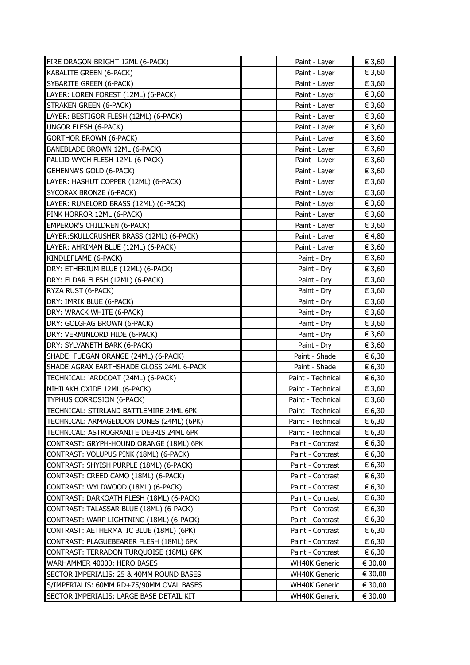| FIRE DRAGON BRIGHT 12ML (6-PACK)          | Paint - Layer        | € 3,60  |
|-------------------------------------------|----------------------|---------|
| KABALITE GREEN (6-PACK)                   | Paint - Layer        | € 3,60  |
| SYBARITE GREEN (6-PACK)                   | Paint - Layer        | € 3,60  |
| LAYER: LOREN FOREST (12ML) (6-PACK)       | Paint - Layer        | € 3,60  |
| STRAKEN GREEN (6-PACK)                    | Paint - Layer        | € 3,60  |
| LAYER: BESTIGOR FLESH (12ML) (6-PACK)     | Paint - Layer        | € 3,60  |
| <b>UNGOR FLESH (6-PACK)</b>               | Paint - Layer        | € 3,60  |
| <b>GORTHOR BROWN (6-PACK)</b>             | Paint - Layer        | € 3,60  |
| BANEBLADE BROWN 12ML (6-PACK)             | Paint - Layer        | € 3,60  |
| PALLID WYCH FLESH 12ML (6-PACK)           | Paint - Layer        | € 3,60  |
| GEHENNA'S GOLD (6-PACK)                   | Paint - Layer        | € 3,60  |
| LAYER: HASHUT COPPER (12ML) (6-PACK)      | Paint - Layer        | € 3,60  |
| SYCORAX BRONZE (6-PACK)                   | Paint - Layer        | € 3,60  |
| LAYER: RUNELORD BRASS (12ML) (6-PACK)     | Paint - Layer        | € 3,60  |
| PINK HORROR 12ML (6-PACK)                 | Paint - Layer        | € 3,60  |
| <b>EMPEROR'S CHILDREN (6-PACK)</b>        | Paint - Layer        | € 3,60  |
| LAYER: SKULLCRUSHER BRASS (12ML) (6-PACK) | Paint - Layer        | € 4,80  |
| LAYER: AHRIMAN BLUE (12ML) (6-PACK)       | Paint - Layer        | € 3,60  |
| KINDLEFLAME (6-PACK)                      | Paint - Dry          | € 3,60  |
| DRY: ETHERIUM BLUE (12ML) (6-PACK)        | Paint - Dry          | € 3,60  |
| DRY: ELDAR FLESH (12ML) (6-PACK)          | Paint - Dry          | € 3,60  |
| RYZA RUST (6-PACK)                        | Paint - Dry          | € 3,60  |
| DRY: IMRIK BLUE (6-PACK)                  | Paint - Dry          | € 3,60  |
| DRY: WRACK WHITE (6-PACK)                 | Paint - Dry          | € 3,60  |
| DRY: GOLGFAG BROWN (6-PACK)               | Paint - Dry          | € 3,60  |
| DRY: VERMINLORD HIDE (6-PACK)             | Paint - Dry          | € 3,60  |
| DRY: SYLVANETH BARK (6-PACK)              | Paint - Dry          | € 3,60  |
| SHADE: FUEGAN ORANGE (24ML) (6-PACK)      | Paint - Shade        | € 6,30  |
| SHADE: AGRAX EARTHSHADE GLOSS 24ML 6-PACK | Paint - Shade        | € 6,30  |
| TECHNICAL: 'ARDCOAT (24ML) (6-PACK)       | Paint - Technical    | € 6,30  |
| NIHILAKH OXIDE 12ML (6-PACK)              | Paint - Technical    | € 3,60  |
| TYPHUS CORROSION (6-PACK)                 | Paint - Technical    | € 3,60  |
| TECHNICAL: STIRLAND BATTLEMIRE 24ML 6PK   | Paint - Technical    | € 6,30  |
| TECHNICAL: ARMAGEDDON DUNES (24ML) (6PK)  | Paint - Technical    | € 6,30  |
| TECHNICAL: ASTROGRANITE DEBRIS 24ML 6PK   | Paint - Technical    | € 6,30  |
| CONTRAST: GRYPH-HOUND ORANGE (18ML) 6PK   | Paint - Contrast     | € 6,30  |
| CONTRAST: VOLUPUS PINK (18ML) (6-PACK)    | Paint - Contrast     | € 6,30  |
| CONTRAST: SHYISH PURPLE (18ML) (6-PACK)   | Paint - Contrast     | € 6,30  |
| CONTRAST: CREED CAMO (18ML) (6-PACK)      | Paint - Contrast     | € 6,30  |
| CONTRAST: WYLDWOOD (18ML) (6-PACK)        | Paint - Contrast     | € 6,30  |
| CONTRAST: DARKOATH FLESH (18ML) (6-PACK)  | Paint - Contrast     | € 6,30  |
| CONTRAST: TALASSAR BLUE (18ML) (6-PACK)   | Paint - Contrast     | € 6,30  |
| CONTRAST: WARP LIGHTNING (18ML) (6-PACK)  | Paint - Contrast     | € 6,30  |
| CONTRAST: AETHERMATIC BLUE (18ML) (6PK)   | Paint - Contrast     | € 6,30  |
| CONTRAST: PLAGUEBEARER FLESH (18ML) 6PK   | Paint - Contrast     | € 6,30  |
| CONTRAST: TERRADON TURQUOISE (18ML) 6PK   | Paint - Contrast     | € 6,30  |
| WARHAMMER 40000: HERO BASES               | <b>WH40K Generic</b> | € 30,00 |
| SECTOR IMPERIALIS: 25 & 40MM ROUND BASES  | <b>WH40K Generic</b> | € 30,00 |
| S/IMPERIALIS: 60MM RD+75/90MM OVAL BASES  | <b>WH40K Generic</b> | € 30,00 |
| SECTOR IMPERIALIS: LARGE BASE DETAIL KIT  | <b>WH40K Generic</b> | € 30,00 |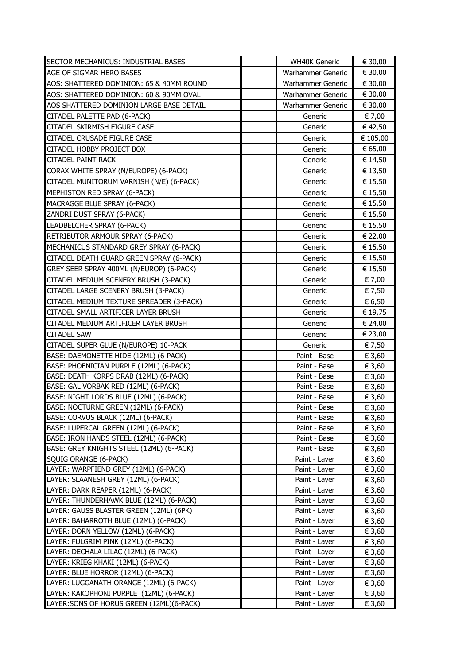| SECTOR MECHANICUS: INDUSTRIAL BASES                                              | <b>WH40K Generic</b>           | € 30,00          |
|----------------------------------------------------------------------------------|--------------------------------|------------------|
| AGE OF SIGMAR HERO BASES                                                         | Warhammer Generic              | € 30,00          |
| AOS: SHATTERED DOMINION: 65 & 40MM ROUND                                         | Warhammer Generic              | € 30,00          |
| AOS: SHATTERED DOMINION: 60 & 90MM OVAL                                          | <b>Warhammer Generic</b>       | € 30,00          |
| AOS SHATTERED DOMINION LARGE BASE DETAIL                                         | <b>Warhammer Generic</b>       | € 30,00          |
| CITADEL PALETTE PAD (6-PACK)                                                     | Generic                        | € 7,00           |
| CITADEL SKIRMISH FIGURE CASE                                                     | Generic                        | € 42,50          |
| CITADEL CRUSADE FIGURE CASE                                                      | Generic                        | € 105,00         |
| CITADEL HOBBY PROJECT BOX                                                        | Generic                        | € 65,00          |
| <b>CITADEL PAINT RACK</b>                                                        | Generic                        | € 14,50          |
| CORAX WHITE SPRAY (N/EUROPE) (6-PACK)                                            | Generic                        | € 13,50          |
| CITADEL MUNITORUM VARNISH (N/E) (6-PACK)                                         | Generic                        | € 15,50          |
| MEPHISTON RED SPRAY (6-PACK)                                                     | Generic                        | € 15,50          |
| MACRAGGE BLUE SPRAY (6-PACK)                                                     | Generic                        | € 15,50          |
| ZANDRI DUST SPRAY (6-PACK)                                                       | Generic                        | € 15,50          |
| LEADBELCHER SPRAY (6-PACK)                                                       | Generic                        | € 15,50          |
| RETRIBUTOR ARMOUR SPRAY (6-PACK)                                                 | Generic                        | € 22,00          |
| MECHANICUS STANDARD GREY SPRAY (6-PACK)                                          | Generic                        | € 15,50          |
| CITADEL DEATH GUARD GREEN SPRAY (6-PACK)                                         | Generic                        | € 15,50          |
| GREY SEER SPRAY 400ML (N/EUROP) (6-PACK)                                         | Generic                        | € 15,50          |
| CITADEL MEDIUM SCENERY BRUSH (3-PACK)                                            | Generic                        | € 7,00           |
| CITADEL LARGE SCENERY BRUSH (3-PACK)                                             | Generic                        | € 7,50           |
| CITADEL MEDIUM TEXTURE SPREADER (3-PACK)                                         | Generic                        | € 6,50           |
| CITADEL SMALL ARTIFICER LAYER BRUSH                                              | Generic                        | € 19,75          |
| CITADEL MEDIUM ARTIFICER LAYER BRUSH                                             | Generic                        | € 24,00          |
| <b>CITADEL SAW</b>                                                               | Generic                        | € 23,00          |
| CITADEL SUPER GLUE (N/EUROPE) 10-PACK                                            | Generic                        | € 7,50           |
| BASE: DAEMONETTE HIDE (12ML) (6-PACK)                                            | Paint - Base                   | € 3,60           |
| BASE: PHOENICIAN PURPLE (12ML) (6-PACK)                                          | Paint - Base                   | € 3,60           |
| BASE: DEATH KORPS DRAB (12ML) (6-PACK)                                           | Paint - Base                   | € 3,60           |
| BASE: GAL VORBAK RED (12ML) (6-PACK)                                             | Paint - Base                   | € 3,60           |
| BASE: NIGHT LORDS BLUE (12ML) (6-PACK)                                           | Paint - Base                   | € 3,60           |
| BASE: NOCTURNE GREEN (12ML) (6-PACK)                                             | Paint - Base                   | € 3,60           |
| BASE: CORVUS BLACK (12ML) (6-PACK)                                               | Paint - Base                   | € 3,60           |
| BASE: LUPERCAL GREEN (12ML) (6-PACK)                                             | Paint - Base                   | € 3,60           |
| BASE: IRON HANDS STEEL (12ML) (6-PACK)                                           | Paint - Base                   | € 3,60           |
| BASE: GREY KNIGHTS STEEL (12ML) (6-PACK)                                         | Paint - Base                   | € 3,60           |
| SQUIG ORANGE (6-PACK)                                                            | Paint - Layer                  | € 3,60           |
| LAYER: WARPFIEND GREY (12ML) (6-PACK)                                            | Paint - Layer                  | € 3,60           |
| LAYER: SLAANESH GREY (12ML) (6-PACK)                                             | Paint - Layer                  | € 3,60           |
| LAYER: DARK REAPER (12ML) (6-PACK)                                               | Paint - Layer                  | € 3,60           |
| LAYER: THUNDERHAWK BLUE (12ML) (6-PACK)                                          | Paint - Layer                  | € 3,60           |
| LAYER: GAUSS BLASTER GREEN (12ML) (6PK)<br>LAYER: BAHARROTH BLUE (12ML) (6-PACK) | Paint - Layer                  | € 3,60           |
| LAYER: DORN YELLOW (12ML) (6-PACK)                                               | Paint - Layer                  | € 3,60           |
| LAYER: FULGRIM PINK (12ML) (6-PACK)                                              | Paint - Layer<br>Paint - Layer | € 3,60<br>€ 3,60 |
| LAYER: DECHALA LILAC (12ML) (6-PACK)                                             | Paint - Layer                  | € 3,60           |
| LAYER: KRIEG KHAKI (12ML) (6-PACK)                                               | Paint - Layer                  | € 3,60           |
| LAYER: BLUE HORROR (12ML) (6-PACK)                                               | Paint - Layer                  | € 3,60           |
| LAYER: LUGGANATH ORANGE (12ML) (6-PACK)                                          | Paint - Layer                  | € 3,60           |
| LAYER: KAKOPHONI PURPLE (12ML) (6-PACK)                                          | Paint - Layer                  | € 3,60           |
| LAYER: SONS OF HORUS GREEN (12ML) (6-PACK)                                       | Paint - Layer                  | € 3,60           |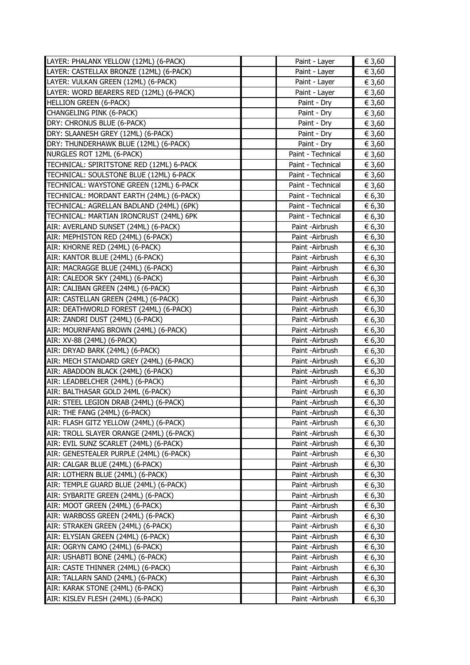| LAYER: PHALANX YELLOW (12ML) (6-PACK)    | Paint - Layer     | € 3,60 |
|------------------------------------------|-------------------|--------|
| LAYER: CASTELLAX BRONZE (12ML) (6-PACK)  | Paint - Layer     | € 3,60 |
| LAYER: VULKAN GREEN (12ML) (6-PACK)      | Paint - Layer     | € 3,60 |
| LAYER: WORD BEARERS RED (12ML) (6-PACK)  | Paint - Layer     | € 3,60 |
| <b>HELLION GREEN (6-PACK)</b>            | Paint - Dry       | € 3,60 |
| CHANGELING PINK (6-PACK)                 | Paint - Dry       | € 3,60 |
| DRY: CHRONUS BLUE (6-PACK)               | Paint - Dry       | € 3,60 |
| DRY: SLAANESH GREY (12ML) (6-PACK)       | Paint - Dry       | € 3,60 |
| DRY: THUNDERHAWK BLUE (12ML) (6-PACK)    | Paint - Dry       | € 3,60 |
| NURGLES ROT 12ML (6-PACK)                | Paint - Technical | € 3,60 |
| TECHNICAL: SPIRITSTONE RED (12ML) 6-PACK | Paint - Technical | € 3,60 |
| TECHNICAL: SOULSTONE BLUE (12ML) 6-PACK  | Paint - Technical | € 3,60 |
| TECHNICAL: WAYSTONE GREEN (12ML) 6-PACK  | Paint - Technical | € 3,60 |
| TECHNICAL: MORDANT EARTH (24ML) (6-PACK) | Paint - Technical | € 6,30 |
| TECHNICAL: AGRELLAN BADLAND (24ML) (6PK) | Paint - Technical | € 6,30 |
| TECHNICAL: MARTIAN IRONCRUST (24ML) 6PK  | Paint - Technical | € 6,30 |
| AIR: AVERLAND SUNSET (24ML) (6-PACK)     | Paint - Airbrush  | € 6,30 |
| AIR: MEPHISTON RED (24ML) (6-PACK)       | Paint -Airbrush   | € 6,30 |
| AIR: KHORNE RED (24ML) (6-PACK)          | Paint - Airbrush  | € 6,30 |
| AIR: KANTOR BLUE (24ML) (6-PACK)         | Paint -Airbrush   | € 6,30 |
| AIR: MACRAGGE BLUE (24ML) (6-PACK)       | Paint - Airbrush  | € 6,30 |
| AIR: CALEDOR SKY (24ML) (6-PACK)         | Paint - Airbrush  | € 6,30 |
| AIR: CALIBAN GREEN (24ML) (6-PACK)       | Paint - Airbrush  | € 6,30 |
| AIR: CASTELLAN GREEN (24ML) (6-PACK)     | Paint - Airbrush  | € 6,30 |
| AIR: DEATHWORLD FOREST (24ML) (6-PACK)   | Paint - Airbrush  | € 6,30 |
| AIR: ZANDRI DUST (24ML) (6-PACK)         | Paint -Airbrush   | € 6,30 |
| AIR: MOURNFANG BROWN (24ML) (6-PACK)     | Paint -Airbrush   | € 6,30 |
| AIR: XV-88 (24ML) (6-PACK)               | Paint - Airbrush  | € 6,30 |
| AIR: DRYAD BARK (24ML) (6-PACK)          | Paint -Airbrush   | € 6,30 |
| AIR: MECH STANDARD GREY (24ML) (6-PACK)  | Paint - Airbrush  | € 6,30 |
| AIR: ABADDON BLACK (24ML) (6-PACK)       | Paint -Airbrush   | € 6,30 |
| AIR: LEADBELCHER (24ML) (6-PACK)         | Paint - Airbrush  | € 6,30 |
| AIR: BALTHASAR GOLD 24ML (6-PACK)        | Paint - Airbrush  | € 6,30 |
| AIR: STEEL LEGION DRAB (24ML) (6-PACK)   | Paint - Airbrush  | € 6,30 |
| AIR: THE FANG (24ML) (6-PACK)            | Paint -Airbrush   | € 6,30 |
| AIR: FLASH GITZ YELLOW (24ML) (6-PACK)   | Paint -Airbrush   | € 6,30 |
| AIR: TROLL SLAYER ORANGE (24ML) (6-PACK) | Paint -Airbrush   | € 6,30 |
| AIR: EVIL SUNZ SCARLET (24ML) (6-PACK)   | Paint - Airbrush  | € 6,30 |
| AIR: GENESTEALER PURPLE (24ML) (6-PACK)  | Paint - Airbrush  | € 6,30 |
| AIR: CALGAR BLUE (24ML) (6-PACK)         | Paint - Airbrush  | € 6,30 |
| AIR: LOTHERN BLUE (24ML) (6-PACK)        | Paint - Airbrush  | € 6,30 |
| AIR: TEMPLE GUARD BLUE (24ML) (6-PACK)   | Paint - Airbrush  | € 6,30 |
| AIR: SYBARITE GREEN (24ML) (6-PACK)      | Paint - Airbrush  | € 6,30 |
| AIR: MOOT GREEN (24ML) (6-PACK)          | Paint -Airbrush   | € 6,30 |
| AIR: WARBOSS GREEN (24ML) (6-PACK)       | Paint - Airbrush  | € 6,30 |
| AIR: STRAKEN GREEN (24ML) (6-PACK)       | Paint - Airbrush  | € 6,30 |
| AIR: ELYSIAN GREEN (24ML) (6-PACK)       | Paint - Airbrush  | € 6,30 |
| AIR: OGRYN CAMO (24ML) (6-PACK)          | Paint - Airbrush  | € 6,30 |
| AIR: USHABTI BONE (24ML) (6-PACK)        | Paint - Airbrush  | € 6,30 |
| AIR: CASTE THINNER (24ML) (6-PACK)       | Paint - Airbrush  | € 6,30 |
| AIR: TALLARN SAND (24ML) (6-PACK)        | Paint - Airbrush  | € 6,30 |
| AIR: KARAK STONE (24ML) (6-PACK)         | Paint - Airbrush  | € 6,30 |
| AIR: KISLEV FLESH (24ML) (6-PACK)        | Paint - Airbrush  | € 6,30 |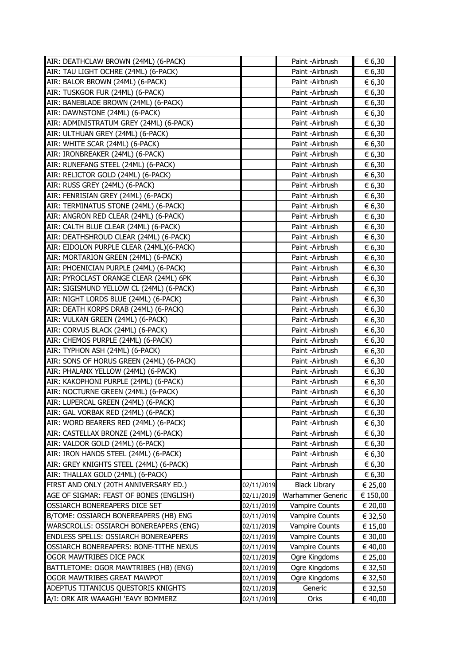| AIR: DEATHCLAW BROWN (24ML) (6-PACK)     |            | Paint -Airbrush       | € 6,30   |
|------------------------------------------|------------|-----------------------|----------|
| AIR: TAU LIGHT OCHRE (24ML) (6-PACK)     |            | Paint - Airbrush      | € 6,30   |
| AIR: BALOR BROWN (24ML) (6-PACK)         |            | Paint - Airbrush      | € 6,30   |
| AIR: TUSKGOR FUR (24ML) (6-PACK)         |            | Paint - Airbrush      | € 6,30   |
| AIR: BANEBLADE BROWN (24ML) (6-PACK)     |            | Paint - Airbrush      | € 6,30   |
| AIR: DAWNSTONE (24ML) (6-PACK)           |            | Paint -Airbrush       | € 6,30   |
| AIR: ADMINISTRATUM GREY (24ML) (6-PACK)  |            | Paint - Airbrush      | € 6,30   |
| AIR: ULTHUAN GREY (24ML) (6-PACK)        |            | Paint - Airbrush      | € 6,30   |
| AIR: WHITE SCAR (24ML) (6-PACK)          |            | Paint - Airbrush      | € 6,30   |
| AIR: IRONBREAKER (24ML) (6-PACK)         |            | Paint - Airbrush      | € 6,30   |
| AIR: RUNEFANG STEEL (24ML) (6-PACK)      |            | Paint - Airbrush      | € 6,30   |
| AIR: RELICTOR GOLD (24ML) (6-PACK)       |            | Paint - Airbrush      | € 6,30   |
| AIR: RUSS GREY (24ML) (6-PACK)           |            | Paint - Airbrush      | € 6,30   |
| AIR: FENRISIAN GREY (24ML) (6-PACK)      |            | Paint - Airbrush      | € 6,30   |
| AIR: TERMINATUS STONE (24ML) (6-PACK)    |            | Paint - Airbrush      | € 6,30   |
| AIR: ANGRON RED CLEAR (24ML) (6-PACK)    |            | Paint - Airbrush      | € 6,30   |
| AIR: CALTH BLUE CLEAR (24ML) (6-PACK)    |            | Paint - Airbrush      | € 6,30   |
| AIR: DEATHSHROUD CLEAR (24ML) (6-PACK)   |            | Paint - Airbrush      | € 6,30   |
| AIR: EIDOLON PURPLE CLEAR (24ML)(6-PACK) |            | Paint - Airbrush      | € 6,30   |
| AIR: MORTARION GREEN (24ML) (6-PACK)     |            | Paint - Airbrush      | € 6,30   |
| AIR: PHOENICIAN PURPLE (24ML) (6-PACK)   |            | Paint - Airbrush      | € 6,30   |
| AIR: PYROCLAST ORANGE CLEAR (24ML) 6PK   |            | Paint - Airbrush      | € 6,30   |
| AIR: SIGISMUND YELLOW CL (24ML) (6-PACK) |            | Paint - Airbrush      | € 6,30   |
| AIR: NIGHT LORDS BLUE (24ML) (6-PACK)    |            | Paint -Airbrush       | € 6,30   |
| AIR: DEATH KORPS DRAB (24ML) (6-PACK)    |            | Paint - Airbrush      | € 6,30   |
| AIR: VULKAN GREEN (24ML) (6-PACK)        |            | Paint - Airbrush      | € 6,30   |
| AIR: CORVUS BLACK (24ML) (6-PACK)        |            | Paint - Airbrush      | € 6,30   |
| AIR: CHEMOS PURPLE (24ML) (6-PACK)       |            | Paint -Airbrush       | € 6,30   |
| AIR: TYPHON ASH (24ML) (6-PACK)          |            | Paint - Airbrush      | € 6,30   |
| AIR: SONS OF HORUS GREEN (24ML) (6-PACK) |            | Paint - Airbrush      | € 6,30   |
| AIR: PHALANX YELLOW (24ML) (6-PACK)      |            | Paint - Airbrush      | € 6,30   |
| AIR: KAKOPHONI PURPLE (24ML) (6-PACK)    |            | Paint - Airbrush      | € 6,30   |
| AIR: NOCTURNE GREEN (24ML) (6-PACK)      |            | Paint - Airbrush      | € 6,30   |
| AIR: LUPERCAL GREEN (24ML) (6-PACK)      |            | Paint - Airbrush      | € 6,30   |
| AIR: GAL VORBAK RED (24ML) (6-PACK)      |            | Paint -Airbrush       | € 6,30   |
| AIR: WORD BEARERS RED (24ML) (6-PACK)    |            | Paint - Airbrush      | € 6,30   |
| AIR: CASTELLAX BRONZE (24ML) (6-PACK)    |            | Paint - Airbrush      | € 6,30   |
| AIR: VALDOR GOLD (24ML) (6-PACK)         |            | Paint - Airbrush      | € 6,30   |
| AIR: IRON HANDS STEEL (24ML) (6-PACK)    |            | Paint - Airbrush      | € 6,30   |
| AIR: GREY KNIGHTS STEEL (24ML) (6-PACK)  |            | Paint - Airbrush      | € 6,30   |
| AIR: THALLAX GOLD (24ML) (6-PACK)        |            | Paint - Airbrush      | € 6,30   |
| FIRST AND ONLY (20TH ANNIVERSARY ED.)    | 02/11/2019 | <b>Black Library</b>  | € 25,00  |
| AGE OF SIGMAR: FEAST OF BONES (ENGLISH)  | 02/11/2019 | Warhammer Generic     | € 150,00 |
| OSSIARCH BONEREAPERS DICE SET            | 02/11/2019 | Vampire Counts        | € 20,00  |
| B/TOME: OSSIARCH BONEREAPERS (HB) ENG    | 02/11/2019 | Vampire Counts        | € 32,50  |
| WARSCROLLS: OSSIARCH BONEREAPERS (ENG)   | 02/11/2019 | <b>Vampire Counts</b> | € 15,00  |
| ENDLESS SPELLS: OSSIARCH BONEREAPERS     | 02/11/2019 | <b>Vampire Counts</b> | € 30,00  |
| OSSIARCH BONEREAPERS: BONE-TITHE NEXUS   | 02/11/2019 | Vampire Counts        | € 40,00  |
| OGOR MAWTRIBES DICE PACK                 | 02/11/2019 | Ogre Kingdoms         | € 25,00  |
| BATTLETOME: OGOR MAWTRIBES (HB) (ENG)    | 02/11/2019 | Ogre Kingdoms         | € 32,50  |
| OGOR MAWTRIBES GREAT MAWPOT              | 02/11/2019 | Ogre Kingdoms         | € 32,50  |
| ADEPTUS TITANICUS QUESTORIS KNIGHTS      | 02/11/2019 | Generic               | € 32,50  |
| A/I: ORK AIR WAAAGH! 'EAVY BOMMERZ       | 02/11/2019 | Orks                  | € 40,00  |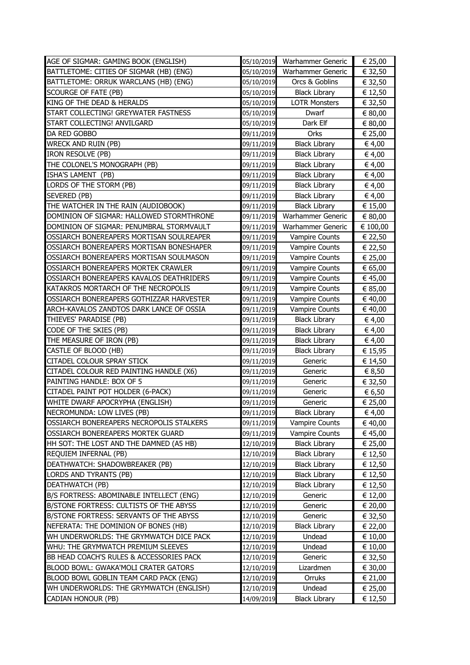| AGE OF SIGMAR: GAMING BOOK (ENGLISH)     |            | 05/10/2019 Warhammer Generic | € 25,00  |
|------------------------------------------|------------|------------------------------|----------|
| BATTLETOME: CITIES OF SIGMAR (HB) (ENG)  | 05/10/2019 | Warhammer Generic            | € 32,50  |
| BATTLETOME: ORRUK WARCLANS (HB) (ENG)    | 05/10/2019 | Orcs & Goblins               | € 32,50  |
| SCOURGE OF FATE (PB)                     | 05/10/2019 | <b>Black Library</b>         | € 12,50  |
| KING OF THE DEAD & HERALDS               | 05/10/2019 | <b>LOTR Monsters</b>         | € 32,50  |
| START COLLECTING! GREYWATER FASTNESS     | 05/10/2019 | Dwarf                        | € 80,00  |
| START COLLECTING! ANVILGARD              | 05/10/2019 | Dark Elf                     | € 80,00  |
| DA RED GOBBO                             | 09/11/2019 | Orks                         | € 25,00  |
| <b>WRECK AND RUIN (PB)</b>               | 09/11/2019 | <b>Black Library</b>         | € 4,00   |
| <b>IRON RESOLVE (PB)</b>                 | 09/11/2019 | <b>Black Library</b>         | € 4,00   |
| THE COLONEL'S MONOGRAPH (PB)             | 09/11/2019 | <b>Black Library</b>         | € 4,00   |
| ISHA'S LAMENT (PB)                       | 09/11/2019 | <b>Black Library</b>         | € 4,00   |
| LORDS OF THE STORM (PB)                  | 09/11/2019 | <b>Black Library</b>         | € 4,00   |
| SEVERED (PB)                             | 09/11/2019 | <b>Black Library</b>         | € 4,00   |
| THE WATCHER IN THE RAIN (AUDIOBOOK)      | 09/11/2019 | <b>Black Library</b>         | € 15,00  |
| DOMINION OF SIGMAR: HALLOWED STORMTHRONE | 09/11/2019 | Warhammer Generic            | € 80,00  |
| DOMINION OF SIGMAR: PENUMBRAL STORMVAULT | 09/11/2019 | Warhammer Generic            | € 100,00 |
| OSSIARCH BONEREAPERS MORTISAN SOULREAPER | 09/11/2019 | <b>Vampire Counts</b>        | € 22,50  |
| OSSIARCH BONEREAPERS MORTISAN BONESHAPER | 09/11/2019 | <b>Vampire Counts</b>        | € 22,50  |
| OSSIARCH BONEREAPERS MORTISAN SOULMASON  | 09/11/2019 | Vampire Counts               | € 25,00  |
| OSSIARCH BONEREAPERS MORTEK CRAWLER      | 09/11/2019 | <b>Vampire Counts</b>        | € 65,00  |
| OSSIARCH BONEREAPERS KAVALOS DEATHRIDERS | 09/11/2019 | <b>Vampire Counts</b>        | € 45,00  |
| KATAKROS MORTARCH OF THE NECROPOLIS      | 09/11/2019 | <b>Vampire Counts</b>        | € 85,00  |
| OSSIARCH BONEREAPERS GOTHIZZAR HARVESTER | 09/11/2019 | <b>Vampire Counts</b>        | € 40,00  |
| ARCH-KAVALOS ZANDTOS DARK LANCE OF OSSIA | 09/11/2019 | <b>Vampire Counts</b>        | € 40,00  |
| THIEVES' PARADISE (PB)                   | 09/11/2019 | <b>Black Library</b>         | € 4,00   |
| CODE OF THE SKIES (PB)                   | 09/11/2019 | <b>Black Library</b>         | € 4,00   |
| THE MEASURE OF IRON (PB)                 | 09/11/2019 | <b>Black Library</b>         | € 4,00   |
| CASTLE OF BLOOD (HB)                     | 09/11/2019 | <b>Black Library</b>         | € 15,95  |
| CITADEL COLOUR SPRAY STICK               | 09/11/2019 | Generic                      | € 14,50  |
| CITADEL COLOUR RED PAINTING HANDLE (X6)  | 09/11/2019 | Generic                      | € 8,50   |
| PAINTING HANDLE: BOX OF 5                | 09/11/2019 | Generic                      | € 32,50  |
| CITADEL PAINT POT HOLDER (6-PACK)        | 09/11/2019 | Generic                      | € 6,50   |
| WHITE DWARF APOCRYPHA (ENGLISH)          | 09/11/2019 | Generic                      | € 25,00  |
| NECROMUNDA: LOW LIVES (PB)               | 09/11/2019 | <b>Black Library</b>         | € 4,00   |
| OSSIARCH BONEREAPERS NECROPOLIS STALKERS | 09/11/2019 | <b>Vampire Counts</b>        | € 40,00  |
| OSSIARCH BONEREAPERS MORTEK GUARD        | 09/11/2019 | Vampire Counts               | € 45,00  |
| HH SOT: THE LOST AND THE DAMNED (A5 HB)  | 12/10/2019 | <b>Black Library</b>         | € 25,00  |
| REQUIEM INFERNAL (PB)                    | 12/10/2019 | <b>Black Library</b>         | € 12,50  |
| DEATHWATCH: SHADOWBREAKER (PB)           | 12/10/2019 | <b>Black Library</b>         | € 12,50  |
| LORDS AND TYRANTS (PB)                   | 12/10/2019 | <b>Black Library</b>         | € 12,50  |
| <b>DEATHWATCH (PB)</b>                   | 12/10/2019 | <b>Black Library</b>         | € 12,50  |
| B/S FORTRESS: ABOMINABLE INTELLECT (ENG) | 12/10/2019 | Generic                      | € 12,00  |
| B/STONE FORTRESS: CULTISTS OF THE ABYSS  | 12/10/2019 | Generic                      | € 20,00  |
| B/STONE FORTRESS: SERVANTS OF THE ABYSS  | 12/10/2019 | Generic                      | € 32,50  |
| NEFERATA: THE DOMINION OF BONES (HB)     | 12/10/2019 | <b>Black Library</b>         | € 22,00  |
| WH UNDERWORLDS: THE GRYMWATCH DICE PACK  | 12/10/2019 | Undead                       | € 10,00  |
| WHU: THE GRYMWATCH PREMIUM SLEEVES       | 12/10/2019 | Undead                       | € 10,00  |
| BB HEAD COACH'S RULES & ACCESSORIES PACK | 12/10/2019 | Generic                      | € 32,50  |
| BLOOD BOWL: GWAKA'MOLI CRATER GATORS     | 12/10/2019 | Lizardmen                    | € 30,00  |
| BLOOD BOWL GOBLIN TEAM CARD PACK (ENG)   | 12/10/2019 | Orruks                       | € 21,00  |
| WH UNDERWORLDS: THE GRYMWATCH (ENGLISH)  | 12/10/2019 | Undead                       | € 25,00  |
| <b>CADIAN HONOUR (PB)</b>                | 14/09/2019 | <b>Black Library</b>         | € 12,50  |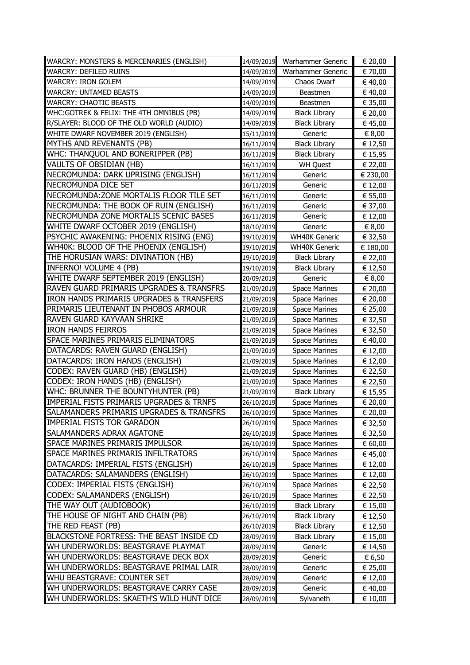| WARCRY: MONSTERS & MERCENARIES (ENGLISH)            |                          | 14/09/2019 Warhammer Generic | € 20,00            |
|-----------------------------------------------------|--------------------------|------------------------------|--------------------|
| <b>WARCRY: DEFILED RUINS</b>                        | 14/09/2019               | Warhammer Generic            | € 70,00            |
| <b>WARCRY: IRON GOLEM</b>                           | 14/09/2019               | Chaos Dwarf                  | € 40,00            |
| <b>WARCRY: UNTAMED BEASTS</b>                       | 14/09/2019               | Beastmen                     | € 40,00            |
| <b>WARCRY: CHAOTIC BEASTS</b>                       | 14/09/2019               | Beastmen                     | € 35,00            |
| WHC: GOTREK & FELIX: THE 4TH OMNIBUS (PB)           | 14/09/2019               | <b>Black Library</b>         | € 20,00            |
| R/SLAYER: BLOOD OF THE OLD WORLD (AUDIO)            | 14/09/2019               | <b>Black Library</b>         | € 45,00            |
| WHITE DWARF NOVEMBER 2019 (ENGLISH)                 | 15/11/2019               | Generic                      | € 8,00             |
| MYTHS AND REVENANTS (PB)                            | 16/11/2019               | <b>Black Library</b>         | € 12,50            |
| WHC: THANQUOL AND BONERIPPER (PB)                   | 16/11/2019               | <b>Black Library</b>         | € 15,95            |
| VAULTS OF OBSIDIAN (HB)                             | 16/11/2019               | <b>WH Quest</b>              | € 22,00            |
| NECROMUNDA: DARK UPRISING (ENGLISH)                 | 16/11/2019               | Generic                      | € 230,00           |
| NECROMUNDA DICE SET                                 | 16/11/2019               | Generic                      | € 12,00            |
| NECROMUNDA: ZONE MORTALIS FLOOR TILE SET            | 16/11/2019               | Generic                      | € 55,00            |
| NECROMUNDA: THE BOOK OF RUIN (ENGLISH)              | 16/11/2019               | Generic                      | € 37,00            |
| NECROMUNDA ZONE MORTALIS SCENIC BASES               | 16/11/2019               | Generic                      | € 12,00            |
| WHITE DWARF OCTOBER 2019 (ENGLISH)                  | 18/10/2019               | Generic                      | € 8,00             |
| PSYCHIC AWAKENING: PHOENIX RISING (ENG)             | 19/10/2019               | <b>WH40K Generic</b>         | € 32,50            |
| WH40K: BLOOD OF THE PHOENIX (ENGLISH)               | 19/10/2019               | <b>WH40K Generic</b>         | € 180,00           |
| THE HORUSIAN WARS: DIVINATION (HB)                  | 19/10/2019               | <b>Black Library</b>         | € 22,00            |
| INFERNO! VOLUME 4 (PB)                              | 19/10/2019               | <b>Black Library</b>         | € 12,50            |
| WHITE DWARF SEPTEMBER 2019 (ENGLISH)                | 20/09/2019               | Generic                      | € 8,00             |
| <b>RAVEN GUARD PRIMARIS UPGRADES &amp; TRANSFRS</b> | 21/09/2019               | <b>Space Marines</b>         | € 20,00            |
| IRON HANDS PRIMARIS UPGRADES & TRANSFERS            | 21/09/2019               | <b>Space Marines</b>         | € 20,00            |
| PRIMARIS LIEUTENANT IN PHOBOS ARMOUR                | 21/09/2019               | <b>Space Marines</b>         | € 25,00            |
| RAVEN GUARD KAYVAAN SHRIKE                          | 21/09/2019               | <b>Space Marines</b>         | € 32,50            |
| <b>IRON HANDS FEIRROS</b>                           | 21/09/2019               | <b>Space Marines</b>         | € 32,50            |
| SPACE MARINES PRIMARIS ELIMINATORS                  | 21/09/2019               | <b>Space Marines</b>         | € 40,00            |
| DATACARDS: RAVEN GUARD (ENGLISH)                    | 21/09/2019               | <b>Space Marines</b>         | € 12,00            |
| DATACARDS: IRON HANDS (ENGLISH)                     | 21/09/2019               | <b>Space Marines</b>         | € 12,00            |
| CODEX: RAVEN GUARD (HB) (ENGLISH)                   | 21/09/2019               | <b>Space Marines</b>         | € 22,50            |
| CODEX: IRON HANDS (HB) (ENGLISH)                    | 21/09/2019               | <b>Space Marines</b>         | € 22,50            |
| WHC: BRUNNER THE BOUNTYHUNTER (PB)                  | 21/09/2019               | <b>Black Library</b>         | € 15,95            |
| <b>IMPERIAL FISTS PRIMARIS UPGRADES &amp; TRNFS</b> | 26/10/2019               | <b>Space Marines</b>         | € 20,00            |
| SALAMANDERS PRIMARIS UPGRADES & TRANSFRS            | 26/10/2019               | Space Marines                | € 20,00            |
| <b>IMPERIAL FISTS TOR GARADON</b>                   | 26/10/2019               | <b>Space Marines</b>         | € 32,50            |
| <b>SALAMANDERS ADRAX AGATONE</b>                    | 26/10/2019               | Space Marines                | € 32,50            |
| <b>SPACE MARINES PRIMARIS IMPULSOR</b>              | 26/10/2019               | <b>Space Marines</b>         | € 60,00            |
| SPACE MARINES PRIMARIS INFILTRATORS                 | 26/10/2019               | <b>Space Marines</b>         | € 45,00            |
| DATACARDS: IMPERIAL FISTS (ENGLISH)                 | 26/10/2019               | <b>Space Marines</b>         | € 12,00            |
| DATACARDS: SALAMANDERS (ENGLISH)                    | 26/10/2019               | <b>Space Marines</b>         | € 12,00            |
| CODEX: IMPERIAL FISTS (ENGLISH)                     | 26/10/2019               | <b>Space Marines</b>         | € 22,50            |
| CODEX: SALAMANDERS (ENGLISH)                        | 26/10/2019               | <b>Space Marines</b>         | € 22,50            |
| THE WAY OUT (AUDIOBOOK)                             | 26/10/2019               | <b>Black Library</b>         | € 15,00            |
| THE HOUSE OF NIGHT AND CHAIN (PB)                   | 26/10/2019               | <b>Black Library</b>         | € 12,50            |
| THE RED FEAST (PB)                                  | 26/10/2019               | <b>Black Library</b>         | € 12,50            |
| BLACKSTONE FORTRESS: THE BEAST INSIDE CD            | 28/09/2019               | <b>Black Library</b>         | € 15,00            |
| WH UNDERWORLDS: BEASTGRAVE PLAYMAT                  | 28/09/2019               | Generic                      | € 14,50            |
| WH UNDERWORLDS: BEASTGRAVE DECK BOX                 |                          | Generic                      | € 6,50             |
| WH UNDERWORLDS: BEASTGRAVE PRIMAL LAIR              | 28/09/2019<br>28/09/2019 | Generic                      |                    |
| WHU BEASTGRAVE: COUNTER SET                         | 28/09/2019               | Generic                      | € 25,00<br>€ 12,00 |
| WH UNDERWORLDS: BEASTGRAVE CARRY CASE               | 28/09/2019               | Generic                      | € 40,00            |
| WH UNDERWORLDS: SKAETH'S WILD HUNT DICE             | 28/09/2019               | Sylvaneth                    | € 10,00            |
|                                                     |                          |                              |                    |